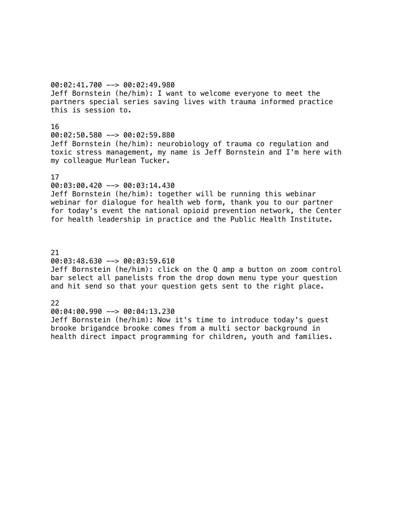00:02:41.700 --> 00:02:49.980 Jeff Bornstein (he/him): I want to welcome everyone to meet the partners special series saving lives with trauma informed practice this is session to.

#### 16

00:02:50.580 --> 00:02:59.880 Jeff Bornstein (he/him): neurobiology of trauma co regulation and toxic stress management, my name is Jeff Bornstein and I'm here with my colleague Murlean Tucker.

### 17

### 00:03:00.420 --> 00:03:14.430

Jeff Bornstein (he/him): together will be running this webinar webinar for dialogue for health web form, thank you to our partner for today's event the national opioid prevention network, the Center for health leadership in practice and the Public Health Institute.

21 00:03:48.630 --> 00:03:59.610 Jeff Bornstein (he/him): click on the Q amp a button on zoom control bar select all panelists from the drop down menu type your question and hit send so that your question gets sent to the right place.

### 22

00:04:00.990 --> 00:04:13.230 Jeff Bornstein (he/him): Now it's time to introduce today's guest brooke brigandce brooke comes from a multi sector background in health direct impact programming for children, youth and families.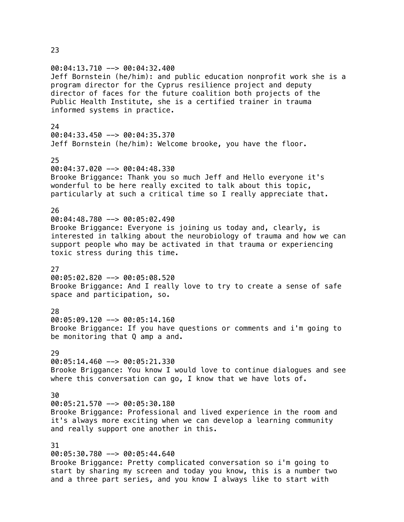### 23

00:04:13.710 --> 00:04:32.400 Jeff Bornstein (he/him): and public education nonprofit work she is a program director for the Cyprus resilience project and deputy director of faces for the future coalition both projects of the Public Health Institute, she is a certified trainer in trauma informed systems in practice. 24  $00:04:33.450$  -->  $00:04:35.370$ Jeff Bornstein (he/him): Welcome brooke, you have the floor. 25 00:04:37.020 --> 00:04:48.330 Brooke Briggance: Thank you so much Jeff and Hello everyone it's wonderful to be here really excited to talk about this topic, particularly at such a critical time so I really appreciate that. 26 00:04:48.780 --> 00:05:02.490 Brooke Briggance: Everyone is joining us today and, clearly, is interested in talking about the neurobiology of trauma and how we can support people who may be activated in that trauma or experiencing toxic stress during this time. 27 00:05:02.820 --> 00:05:08.520 Brooke Briggance: And I really love to try to create a sense of safe space and participation, so. 28 00:05:09.120 --> 00:05:14.160 Brooke Briggance: If you have questions or comments and i'm going to be monitoring that Q amp a and.  $29$ 00:05:14.460 --> 00:05:21.330 Brooke Briggance: You know I would love to continue dialogues and see where this conversation can go, I know that we have lots of. 30  $00:05:21.570$  -->  $00:05:30.180$ Brooke Briggance: Professional and lived experience in the room and it's always more exciting when we can develop a learning community and really support one another in this. 31 00:05:30.780 --> 00:05:44.640 Brooke Briggance: Pretty complicated conversation so i'm going to start by sharing my screen and today you know, this is a number two and a three part series, and you know I always like to start with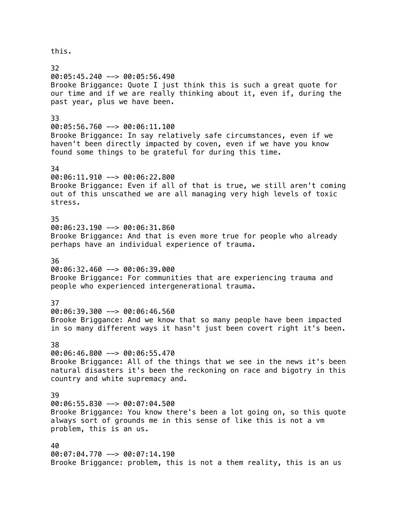this. 32 00:05:45.240 --> 00:05:56.490 Brooke Briggance: Quote I just think this is such a great quote for our time and if we are really thinking about it, even if, during the past year, plus we have been. 33 00:05:56.760 --> 00:06:11.100 Brooke Briggance: In say relatively safe circumstances, even if we haven't been directly impacted by coven, even if we have you know found some things to be grateful for during this time. 34 00:06:11.910 --> 00:06:22.800 Brooke Briggance: Even if all of that is true, we still aren't coming out of this unscathed we are all managing very high levels of toxic stress. 35 00:06:23.190 --> 00:06:31.860 Brooke Briggance: And that is even more true for people who already perhaps have an individual experience of trauma. 36 00:06:32.460 --> 00:06:39.000 Brooke Briggance: For communities that are experiencing trauma and people who experienced intergenerational trauma. 37 00:06:39.300 --> 00:06:46.560 Brooke Briggance: And we know that so many people have been impacted in so many different ways it hasn't just been covert right it's been. 38  $00:06:46.800$  -->  $00:06:55.470$ Brooke Briggance: All of the things that we see in the news it's been natural disasters it's been the reckoning on race and bigotry in this country and white supremacy and. 39 00:06:55.830 --> 00:07:04.500 Brooke Briggance: You know there's been a lot going on, so this quote always sort of grounds me in this sense of like this is not a vm problem, this is an us. 40 00:07:04.770 --> 00:07:14.190 Brooke Briggance: problem, this is not a them reality, this is an us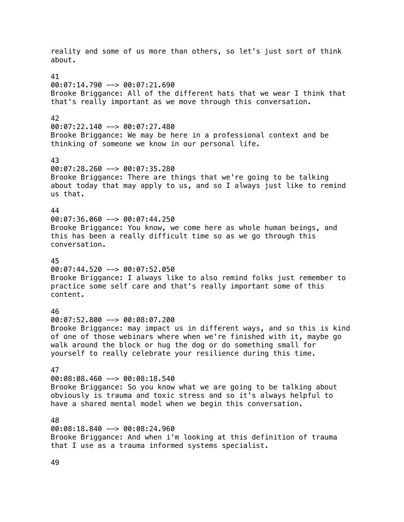reality and some of us more than others, so let's just sort of think about. 41  $00:07:14.790$  -->  $00:07:21.690$ Brooke Briggance: All of the different hats that we wear I think that that's really important as we move through this conversation. 42 00:07:22.140 --> 00:07:27.480 Brooke Briggance: We may be here in a professional context and be thinking of someone we know in our personal life. 43 00:07:28.260 --> 00:07:35.280 Brooke Briggance: There are things that we're going to be talking about today that may apply to us, and so I always just like to remind us that. 44  $00:07:36.060$  -->  $00:07:44.250$ Brooke Briggance: You know, we come here as whole human beings, and this has been a really difficult time so as we go through this conversation. 45 00:07:44.520 --> 00:07:52.050 Brooke Briggance: I always like to also remind folks just remember to practice some self care and that's really important some of this content. 46 00:07:52.800 --> 00:08:07.200 Brooke Briggance: may impact us in different ways, and so this is kind of one of those webinars where when we're finished with it, maybe go walk around the block or hug the dog or do something small for yourself to really celebrate your resilience during this time. 47 00:08:08.460 --> 00:08:18.540 Brooke Briggance: So you know what we are going to be talking about obviously is trauma and toxic stress and so it's always helpful to have a shared mental model when we begin this conversation. 48 00:08:18.840 --> 00:08:24.960 Brooke Briggance: And when i'm looking at this definition of trauma that I use as a trauma informed systems specialist.

49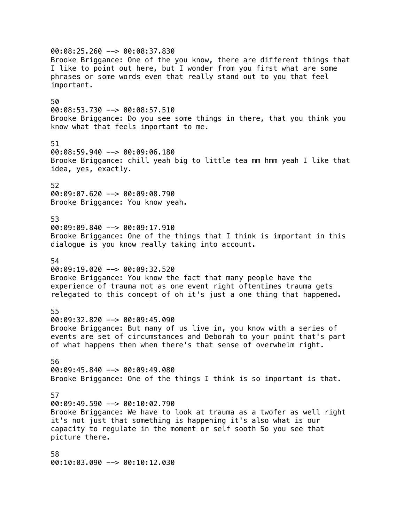00:08:25.260 --> 00:08:37.830 Brooke Briggance: One of the you know, there are different things that I like to point out here, but I wonder from you first what are some phrases or some words even that really stand out to you that feel important. 50 00:08:53.730 --> 00:08:57.510 Brooke Briggance: Do you see some things in there, that you think you know what that feels important to me. 51 00:08:59.940 --> 00:09:06.180 Brooke Briggance: chill yeah big to little tea mm hmm yeah I like that idea, yes, exactly. 52 00:09:07.620 --> 00:09:08.790 Brooke Briggance: You know yeah. 53 00:09:09.840 --> 00:09:17.910 Brooke Briggance: One of the things that I think is important in this dialogue is you know really taking into account. 54 00:09:19.020 --> 00:09:32.520 Brooke Briggance: You know the fact that many people have the experience of trauma not as one event right oftentimes trauma gets relegated to this concept of oh it's just a one thing that happened. 55 00:09:32.820 --> 00:09:45.090 Brooke Briggance: But many of us live in, you know with a series of events are set of circumstances and Deborah to your point that's part of what happens then when there's that sense of overwhelm right. 56 00:09:45.840 --> 00:09:49.080 Brooke Briggance: One of the things I think is so important is that. 57  $00:09:49.590$  -->  $00:10:02.790$ Brooke Briggance: We have to look at trauma as a twofer as well right it's not just that something is happening it's also what is our capacity to regulate in the moment or self sooth So you see that picture there. 58 00:10:03.090 --> 00:10:12.030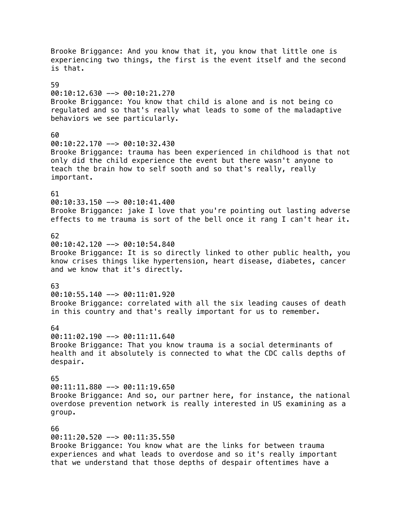Brooke Briggance: And you know that it, you know that little one is experiencing two things, the first is the event itself and the second is that. 59 00:10:12.630 --> 00:10:21.270 Brooke Briggance: You know that child is alone and is not being co regulated and so that's really what leads to some of the maladaptive behaviors we see particularly. 60 00:10:22.170 --> 00:10:32.430 Brooke Briggance: trauma has been experienced in childhood is that not only did the child experience the event but there wasn't anyone to teach the brain how to self sooth and so that's really, really important. 61 00:10:33.150 --> 00:10:41.400 Brooke Briggance: jake I love that you're pointing out lasting adverse effects to me trauma is sort of the bell once it rang I can't hear it. 62 00:10:42.120 --> 00:10:54.840 Brooke Briggance: It is so directly linked to other public health, you know crises things like hypertension, heart disease, diabetes, cancer and we know that it's directly. 63 00:10:55.140 --> 00:11:01.920 Brooke Briggance: correlated with all the six leading causes of death in this country and that's really important for us to remember. 64 00:11:02.190 --> 00:11:11.640 Brooke Briggance: That you know trauma is a social determinants of health and it absolutely is connected to what the CDC calls depths of despair. 65 00:11:11.880 --> 00:11:19.650 Brooke Briggance: And so, our partner here, for instance, the national overdose prevention network is really interested in US examining as a group. 66 00:11:20.520 --> 00:11:35.550 Brooke Briggance: You know what are the links for between trauma experiences and what leads to overdose and so it's really important

that we understand that those depths of despair oftentimes have a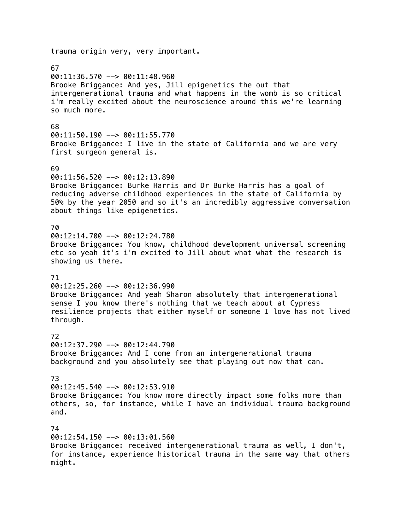# trauma origin very, very important. 67 00:11:36.570 --> 00:11:48.960 Brooke Briggance: And yes, Jill epigenetics the out that intergenerational trauma and what happens in the womb is so critical i'm really excited about the neuroscience around this we're learning so much more. 68  $00:11:50.190$  -->  $00:11:55.770$ Brooke Briggance: I live in the state of California and we are very first surgeon general is. 69 00:11:56.520 --> 00:12:13.890 Brooke Briggance: Burke Harris and Dr Burke Harris has a goal of reducing adverse childhood experiences in the state of California by 50% by the year 2050 and so it's an incredibly aggressive conversation about things like epigenetics. 70 00:12:14.700 --> 00:12:24.780 Brooke Briggance: You know, childhood development universal screening etc so yeah it's i'm excited to Jill about what what the research is showing us there. 71 00:12:25.260 --> 00:12:36.990 Brooke Briggance: And yeah Sharon absolutely that intergenerational sense I you know there's nothing that we teach about at Cypress resilience projects that either myself or someone I love has not lived through. 72 00:12:37.290 --> 00:12:44.790 Brooke Briggance: And I come from an intergenerational trauma background and you absolutely see that playing out now that can. 73 00:12:45.540 --> 00:12:53.910 Brooke Briggance: You know more directly impact some folks more than others, so, for instance, while I have an individual trauma background and. 74 00:12:54.150 --> 00:13:01.560 Brooke Briggance: received intergenerational trauma as well, I don't, for instance, experience historical trauma in the same way that others might.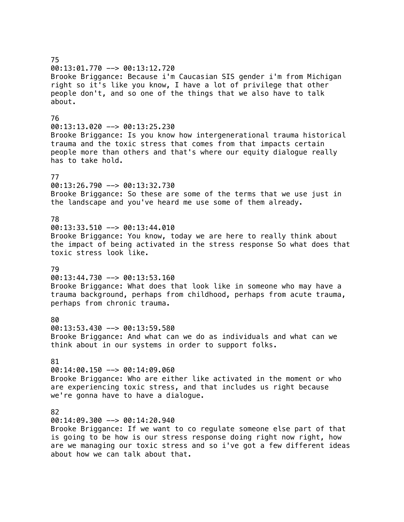# 75 00:13:01.770 --> 00:13:12.720 Brooke Briggance: Because i'm Caucasian SIS gender i'm from Michigan right so it's like you know, I have a lot of privilege that other people don't, and so one of the things that we also have to talk about. 76 00:13:13.020 --> 00:13:25.230 Brooke Briggance: Is you know how intergenerational trauma historical trauma and the toxic stress that comes from that impacts certain people more than others and that's where our equity dialogue really has to take hold. 77 00:13:26.790 --> 00:13:32.730 Brooke Briggance: So these are some of the terms that we use just in the landscape and you've heard me use some of them already. 78  $00:13:33.510$  -->  $00:13:44.010$ Brooke Briggance: You know, today we are here to really think about the impact of being activated in the stress response So what does that toxic stress look like. 79  $00:13:44.730$  -->  $00:13:53.160$ Brooke Briggance: What does that look like in someone who may have a trauma background, perhaps from childhood, perhaps from acute trauma, perhaps from chronic trauma. 80 00:13:53.430 --> 00:13:59.580 Brooke Briggance: And what can we do as individuals and what can we think about in our systems in order to support folks. 81 00:14:00.150 --> 00:14:09.060 Brooke Briggance: Who are either like activated in the moment or who are experiencing toxic stress, and that includes us right because we're gonna have to have a dialogue. 82 00:14:09.300 --> 00:14:20.940 Brooke Briggance: If we want to co regulate someone else part of that is going to be how is our stress response doing right now right, how are we managing our toxic stress and so i've got a few different ideas about how we can talk about that.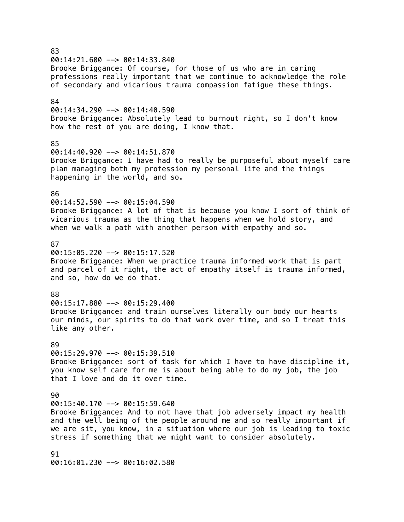83  $00:14:21.600$  -->  $00:14:33.840$ Brooke Briggance: Of course, for those of us who are in caring professions really important that we continue to acknowledge the role of secondary and vicarious trauma compassion fatigue these things. 84 00:14:34.290 --> 00:14:40.590 Brooke Briggance: Absolutely lead to burnout right, so I don't know how the rest of you are doing, I know that. 85 00:14:40.920 --> 00:14:51.870 Brooke Briggance: I have had to really be purposeful about myself care plan managing both my profession my personal life and the things happening in the world, and so. 86 00:14:52.590 --> 00:15:04.590 Brooke Briggance: A lot of that is because you know I sort of think of vicarious trauma as the thing that happens when we hold story, and when we walk a path with another person with empathy and so. 87  $00:15:05.220$  -->  $00:15:17.520$ Brooke Briggance: When we practice trauma informed work that is part and parcel of it right, the act of empathy itself is trauma informed, and so, how do we do that. 88 00:15:17.880 --> 00:15:29.400 Brooke Briggance: and train ourselves literally our body our hearts our minds, our spirits to do that work over time, and so I treat this like any other. 89  $00:15:29.970$  -->  $00:15:39.510$ Brooke Briggance: sort of task for which I have to have discipline it, you know self care for me is about being able to do my job, the job that I love and do it over time.  $90$  $00:15:40.170$  -->  $00:15:59.640$ Brooke Briggance: And to not have that job adversely impact my health and the well being of the people around me and so really important if we are sit, you know, in a situation where our job is leading to toxic stress if something that we might want to consider absolutely. 91

00:16:01.230 --> 00:16:02.580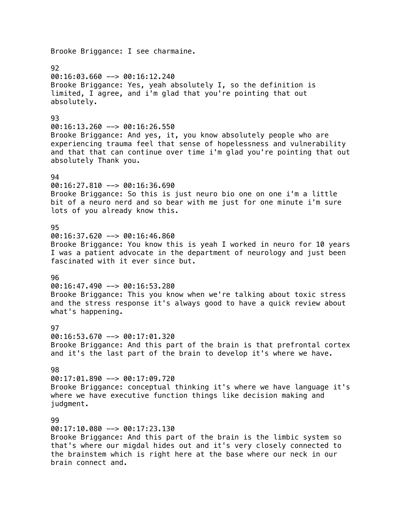Brooke Briggance: I see charmaine. 92 00:16:03.660 --> 00:16:12.240 Brooke Briggance: Yes, yeah absolutely I, so the definition is limited, I agree, and i'm glad that you're pointing that out absolutely. 93 00:16:13.260 --> 00:16:26.550 Brooke Briggance: And yes, it, you know absolutely people who are experiencing trauma feel that sense of hopelessness and vulnerability and that that can continue over time i'm glad you're pointing that out absolutely Thank you. 94 00:16:27.810 --> 00:16:36.690 Brooke Briggance: So this is just neuro bio one on one i'm a little bit of a neuro nerd and so bear with me just for one minute i'm sure lots of you already know this. 95 00:16:37.620 --> 00:16:46.860 Brooke Briggance: You know this is yeah I worked in neuro for 10 years I was a patient advocate in the department of neurology and just been fascinated with it ever since but. 96 00:16:47.490 --> 00:16:53.280 Brooke Briggance: This you know when we're talking about toxic stress and the stress response it's always good to have a quick review about what's happening. **97** 00:16:53.670 --> 00:17:01.320 Brooke Briggance: And this part of the brain is that prefrontal cortex and it's the last part of the brain to develop it's where we have. 98 00:17:01.890 --> 00:17:09.720 Brooke Briggance: conceptual thinking it's where we have language it's where we have executive function things like decision making and judgment. 99 00:17:10.080 --> 00:17:23.130 Brooke Briggance: And this part of the brain is the limbic system so that's where our migdal hides out and it's very closely connected to the brainstem which is right here at the base where our neck in our

brain connect and.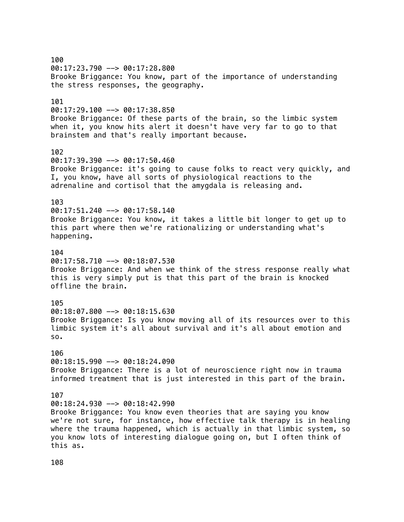100 00:17:23.790 --> 00:17:28.800 Brooke Briggance: You know, part of the importance of understanding the stress responses, the geography. 101 00:17:29.100 --> 00:17:38.850 Brooke Briggance: Of these parts of the brain, so the limbic system when it, you know hits alert it doesn't have very far to go to that brainstem and that's really important because. 102 00:17:39.390 --> 00:17:50.460 Brooke Briggance: it's going to cause folks to react very quickly, and I, you know, have all sorts of physiological reactions to the adrenaline and cortisol that the amygdala is releasing and. 103  $00:17:51.240$  -->  $00:17:58.140$ Brooke Briggance: You know, it takes a little bit longer to get up to this part where then we're rationalizing or understanding what's happening. 104 00:17:58.710 --> 00:18:07.530 Brooke Briggance: And when we think of the stress response really what this is very simply put is that this part of the brain is knocked offline the brain. 105 00:18:07.800 --> 00:18:15.630 Brooke Briggance: Is you know moving all of its resources over to this limbic system it's all about survival and it's all about emotion and so. 106 00:18:15.990 --> 00:18:24.090 Brooke Briggance: There is a lot of neuroscience right now in trauma informed treatment that is just interested in this part of the brain. 107  $00:18:24.930$  -->  $00:18:42.990$ Brooke Briggance: You know even theories that are saying you know we're not sure, for instance, how effective talk therapy is in healing where the trauma happened, which is actually in that limbic system, so you know lots of interesting dialogue going on, but I often think of this as.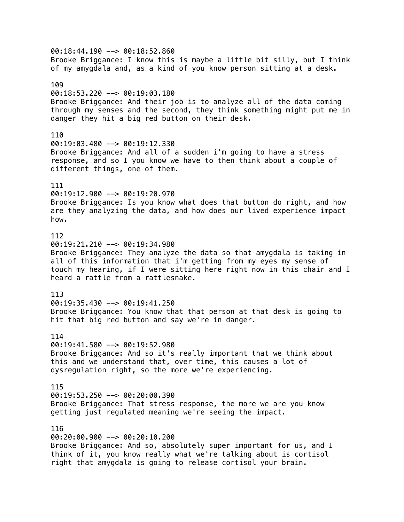00:18:44.190 --> 00:18:52.860 Brooke Briggance: I know this is maybe a little bit silly, but I think of my amygdala and, as a kind of you know person sitting at a desk. 109 00:18:53.220 --> 00:19:03.180 Brooke Briggance: And their job is to analyze all of the data coming through my senses and the second, they think something might put me in danger they hit a big red button on their desk. 110 00:19:03.480 --> 00:19:12.330 Brooke Briggance: And all of a sudden i'm going to have a stress response, and so I you know we have to then think about a couple of different things, one of them. 111 00:19:12.900 --> 00:19:20.970 Brooke Briggance: Is you know what does that button do right, and how are they analyzing the data, and how does our lived experience impact how. 112 00:19:21.210 --> 00:19:34.980 Brooke Briggance: They analyze the data so that amygdala is taking in all of this information that i'm getting from my eyes my sense of touch my hearing, if I were sitting here right now in this chair and I heard a rattle from a rattlesnake. 113  $00:19:35.430$  -->  $00:19:41.250$ Brooke Briggance: You know that that person at that desk is going to hit that big red button and say we're in danger. 114 00:19:41.580 --> 00:19:52.980 Brooke Briggance: And so it's really important that we think about this and we understand that, over time, this causes a lot of dysregulation right, so the more we're experiencing. 115 00:19:53.250 --> 00:20:00.390 Brooke Briggance: That stress response, the more we are you know getting just regulated meaning we're seeing the impact. 116 00:20:00.900 --> 00:20:10.200 Brooke Briggance: And so, absolutely super important for us, and I think of it, you know really what we're talking about is cortisol

right that amygdala is going to release cortisol your brain.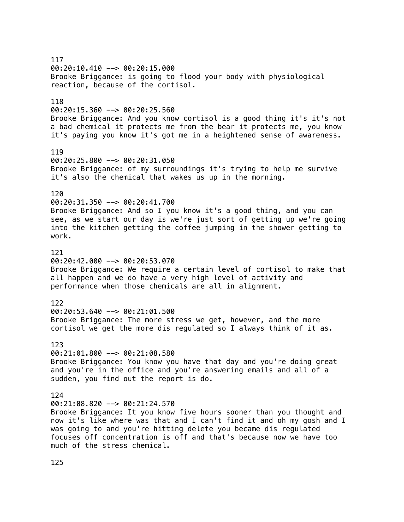117 00:20:10.410 --> 00:20:15.000 Brooke Briggance: is going to flood your body with physiological reaction, because of the cortisol. 118 00:20:15.360 --> 00:20:25.560 Brooke Briggance: And you know cortisol is a good thing it's it's not a bad chemical it protects me from the bear it protects me, you know it's paying you know it's got me in a heightened sense of awareness. 119 00:20:25.800 --> 00:20:31.050 Brooke Briggance: of my surroundings it's trying to help me survive it's also the chemical that wakes us up in the morning. 120 00:20:31.350 --> 00:20:41.700 Brooke Briggance: And so I you know it's a good thing, and you can see, as we start our day is we're just sort of getting up we're going into the kitchen getting the coffee jumping in the shower getting to work. 121 00:20:42.000 --> 00:20:53.070 Brooke Briggance: We require a certain level of cortisol to make that all happen and we do have a very high level of activity and performance when those chemicals are all in alignment. 122 00:20:53.640 --> 00:21:01.500 Brooke Briggance: The more stress we get, however, and the more cortisol we get the more dis regulated so I always think of it as. 123  $00:21:01.800$  -->  $00:21:08.580$ Brooke Briggance: You know you have that day and you're doing great and you're in the office and you're answering emails and all of a sudden, you find out the report is do. 124  $00:21:08.820$  -->  $00:21:24.570$ Brooke Briggance: It you know five hours sooner than you thought and now it's like where was that and I can't find it and oh my gosh and I was going to and you're hitting delete you became dis regulated focuses off concentration is off and that's because now we have too much of the stress chemical.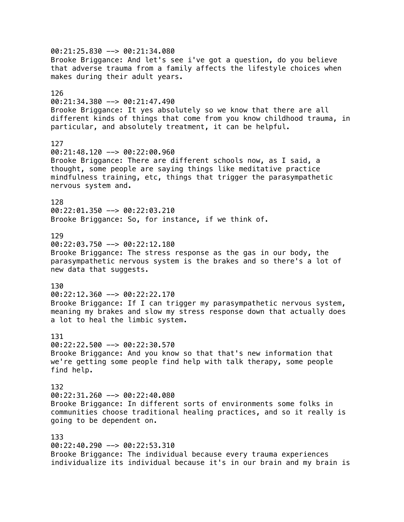00:21:25.830 --> 00:21:34.080 Brooke Briggance: And let's see i've got a question, do you believe that adverse trauma from a family affects the lifestyle choices when makes during their adult years. 126 00:21:34.380 --> 00:21:47.490 Brooke Briggance: It yes absolutely so we know that there are all different kinds of things that come from you know childhood trauma, in particular, and absolutely treatment, it can be helpful. 127 00:21:48.120 --> 00:22:00.960 Brooke Briggance: There are different schools now, as I said, a thought, some people are saying things like meditative practice mindfulness training, etc, things that trigger the parasympathetic nervous system and. 128 00:22:01.350 --> 00:22:03.210 Brooke Briggance: So, for instance, if we think of. 129 00:22:03.750 --> 00:22:12.180 Brooke Briggance: The stress response as the gas in our body, the parasympathetic nervous system is the brakes and so there's a lot of new data that suggests. 130 00:22:12.360 --> 00:22:22.170 Brooke Briggance: If I can trigger my parasympathetic nervous system, meaning my brakes and slow my stress response down that actually does a lot to heal the limbic system. 131 00:22:22.500 --> 00:22:30.570 Brooke Briggance: And you know so that that's new information that we're getting some people find help with talk therapy, some people find help. 132 00:22:31.260 --> 00:22:40.080 Brooke Briggance: In different sorts of environments some folks in communities choose traditional healing practices, and so it really is going to be dependent on. 133 00:22:40.290 --> 00:22:53.310 Brooke Briggance: The individual because every trauma experiences individualize its individual because it's in our brain and my brain is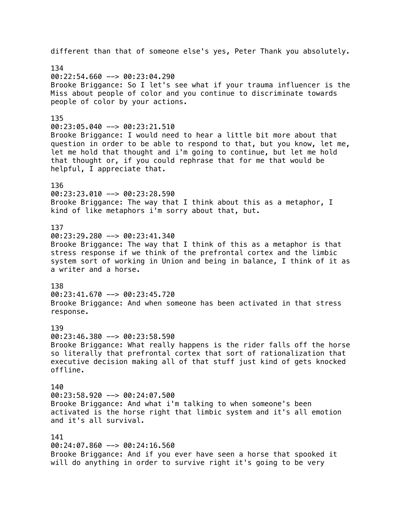different than that of someone else's yes, Peter Thank you absolutely. 134 00:22:54.660 --> 00:23:04.290 Brooke Briggance: So I let's see what if your trauma influencer is the Miss about people of color and you continue to discriminate towards people of color by your actions. 135 00:23:05.040 --> 00:23:21.510 Brooke Briggance: I would need to hear a little bit more about that question in order to be able to respond to that, but you know, let me, let me hold that thought and i'm going to continue, but let me hold that thought or, if you could rephrase that for me that would be helpful, I appreciate that. 136 00:23:23.010 --> 00:23:28.590 Brooke Briggance: The way that I think about this as a metaphor, I kind of like metaphors i'm sorry about that, but. 137 00:23:29.280 --> 00:23:41.340 Brooke Briggance: The way that I think of this as a metaphor is that stress response if we think of the prefrontal cortex and the limbic system sort of working in Union and being in balance, I think of it as a writer and a horse. 138 00:23:41.670 --> 00:23:45.720 Brooke Briggance: And when someone has been activated in that stress response. 139 00:23:46.380 --> 00:23:58.590 Brooke Briggance: What really happens is the rider falls off the horse so literally that prefrontal cortex that sort of rationalization that executive decision making all of that stuff just kind of gets knocked offline. 140 00:23:58.920 --> 00:24:07.500 Brooke Briggance: And what i'm talking to when someone's been activated is the horse right that limbic system and it's all emotion and it's all survival. 141 00:24:07.860 --> 00:24:16.560 Brooke Briggance: And if you ever have seen a horse that spooked it will do anything in order to survive right it's going to be very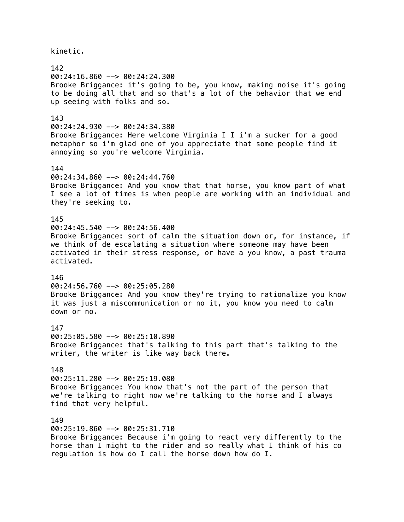kinetic.

142 00:24:16.860 --> 00:24:24.300 Brooke Briggance: it's going to be, you know, making noise it's going to be doing all that and so that's a lot of the behavior that we end up seeing with folks and so. 143 00:24:24.930 --> 00:24:34.380 Brooke Briggance: Here welcome Virginia I I i'm a sucker for a good metaphor so i'm glad one of you appreciate that some people find it annoying so you're welcome Virginia. 144 00:24:34.860 --> 00:24:44.760 Brooke Briggance: And you know that that horse, you know part of what I see a lot of times is when people are working with an individual and they're seeking to. 145 00:24:45.540 --> 00:24:56.400 Brooke Briggance: sort of calm the situation down or, for instance, if we think of de escalating a situation where someone may have been activated in their stress response, or have a you know, a past trauma activated. 146 00:24:56.760 --> 00:25:05.280 Brooke Briggance: And you know they're trying to rationalize you know it was just a miscommunication or no it, you know you need to calm down or no. 147 00:25:05.580 --> 00:25:10.890 Brooke Briggance: that's talking to this part that's talking to the writer, the writer is like way back there. 148 00:25:11.280 --> 00:25:19.080 Brooke Briggance: You know that's not the part of the person that we're talking to right now we're talking to the horse and I always find that very helpful. 149 00:25:19.860 --> 00:25:31.710 Brooke Briggance: Because i'm going to react very differently to the horse than I might to the rider and so really what I think of his co

regulation is how do I call the horse down how do I.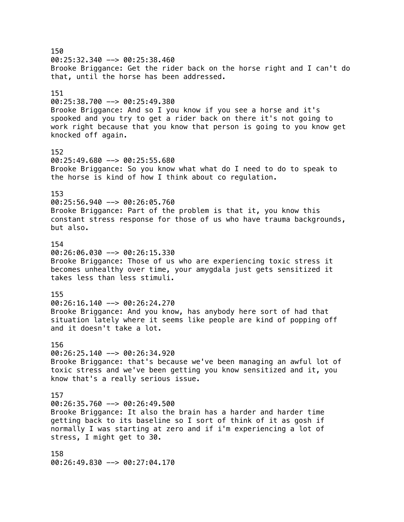150  $00:25:32.340$  -->  $00:25:38.460$ Brooke Briggance: Get the rider back on the horse right and I can't do that, until the horse has been addressed. 151 00:25:38.700 --> 00:25:49.380 Brooke Briggance: And so I you know if you see a horse and it's spooked and you try to get a rider back on there it's not going to work right because that you know that person is going to you know get knocked off again. 152 00:25:49.680 --> 00:25:55.680 Brooke Briggance: So you know what what do I need to do to speak to the horse is kind of how I think about co regulation. 153 00:25:56.940 --> 00:26:05.760 Brooke Briggance: Part of the problem is that it, you know this constant stress response for those of us who have trauma backgrounds, but also. 154 00:26:06.030 --> 00:26:15.330 Brooke Briggance: Those of us who are experiencing toxic stress it becomes unhealthy over time, your amygdala just gets sensitized it takes less than less stimuli. 155 00:26:16.140 --> 00:26:24.270 Brooke Briggance: And you know, has anybody here sort of had that situation lately where it seems like people are kind of popping off and it doesn't take a lot. 156 00:26:25.140 --> 00:26:34.920 Brooke Briggance: that's because we've been managing an awful lot of toxic stress and we've been getting you know sensitized and it, you know that's a really serious issue. 157  $00:26:35.760$  -->  $00:26:49.500$ Brooke Briggance: It also the brain has a harder and harder time getting back to its baseline so I sort of think of it as gosh if normally I was starting at zero and if i'm experiencing a lot of stress, I might get to 30. 158 00:26:49.830 --> 00:27:04.170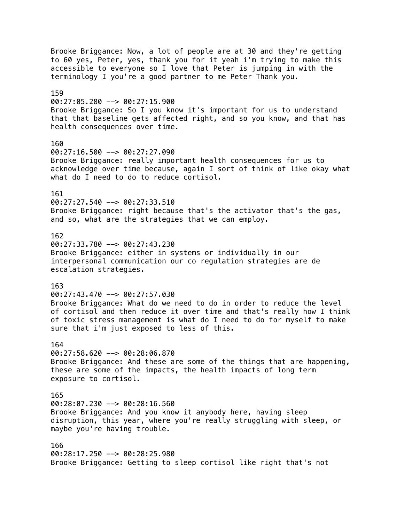Brooke Briggance: Now, a lot of people are at 30 and they're getting to 60 yes, Peter, yes, thank you for it yeah i'm trying to make this accessible to everyone so I love that Peter is jumping in with the terminology I you're a good partner to me Peter Thank you. 159 00:27:05.280 --> 00:27:15.900 Brooke Briggance: So I you know it's important for us to understand that that baseline gets affected right, and so you know, and that has health consequences over time. 160 00:27:16.500 --> 00:27:27.090 Brooke Briggance: really important health consequences for us to acknowledge over time because, again I sort of think of like okay what what do I need to do to reduce cortisol. 161 00:27:27.540 --> 00:27:33.510 Brooke Briggance: right because that's the activator that's the gas, and so, what are the strategies that we can employ. 162 00:27:33.780 --> 00:27:43.230 Brooke Briggance: either in systems or individually in our interpersonal communication our co regulation strategies are de escalation strategies. 163  $00:27:43.470$  -->  $00:27:57.030$ Brooke Briggance: What do we need to do in order to reduce the level of cortisol and then reduce it over time and that's really how I think of toxic stress management is what do I need to do for myself to make sure that i'm just exposed to less of this. 164  $00:27:58.620$  -->  $00:28:06.870$ Brooke Briggance: And these are some of the things that are happening, these are some of the impacts, the health impacts of long term exposure to cortisol. 165 00:28:07.230 --> 00:28:16.560 Brooke Briggance: And you know it anybody here, having sleep disruption, this year, where you're really struggling with sleep, or maybe you're having trouble. 166 00:28:17.250 --> 00:28:25.980 Brooke Briggance: Getting to sleep cortisol like right that's not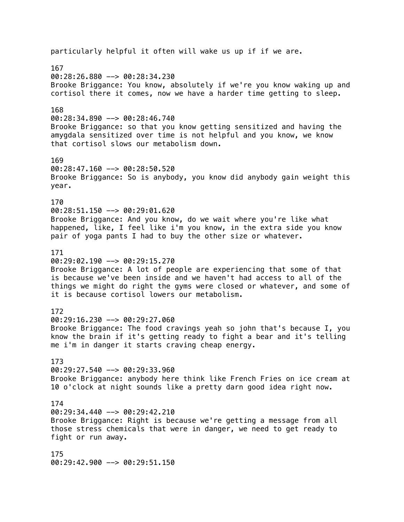particularly helpful it often will wake us up if if we are. 167 00:28:26.880 --> 00:28:34.230 Brooke Briggance: You know, absolutely if we're you know waking up and cortisol there it comes, now we have a harder time getting to sleep. 168  $00:28:34.890$  -->  $00:28:46.740$ Brooke Briggance: so that you know getting sensitized and having the amygdala sensitized over time is not helpful and you know, we know that cortisol slows our metabolism down. 169  $00:28:47.160$  -->  $00:28:50.520$ Brooke Briggance: So is anybody, you know did anybody gain weight this year. 170 00:28:51.150 --> 00:29:01.620 Brooke Briggance: And you know, do we wait where you're like what happened, like, I feel like i'm you know, in the extra side you know pair of yoga pants I had to buy the other size or whatever. 171 00:29:02.190 --> 00:29:15.270 Brooke Briggance: A lot of people are experiencing that some of that is because we've been inside and we haven't had access to all of the things we might do right the gyms were closed or whatever, and some of it is because cortisol lowers our metabolism. 172 00:29:16.230 --> 00:29:27.060 Brooke Briggance: The food cravings yeah so john that's because I, you know the brain if it's getting ready to fight a bear and it's telling me i'm in danger it starts craving cheap energy. 173 00:29:27.540 --> 00:29:33.960 Brooke Briggance: anybody here think like French Fries on ice cream at 10 o'clock at night sounds like a pretty darn good idea right now. 174 00:29:34.440 --> 00:29:42.210 Brooke Briggance: Right is because we're getting a message from all those stress chemicals that were in danger, we need to get ready to fight or run away. 175 00:29:42.900 --> 00:29:51.150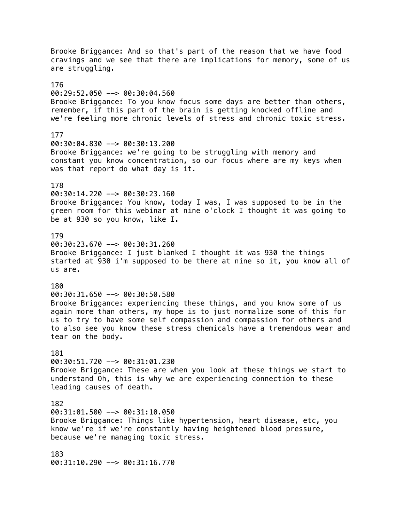Brooke Briggance: And so that's part of the reason that we have food cravings and we see that there are implications for memory, some of us are struggling. 176 00:29:52.050 --> 00:30:04.560 Brooke Briggance: To you know focus some days are better than others, remember, if this part of the brain is getting knocked offline and we're feeling more chronic levels of stress and chronic toxic stress. 177 00:30:04.830 --> 00:30:13.200 Brooke Briggance: we're going to be struggling with memory and constant you know concentration, so our focus where are my keys when was that report do what day is it. 178 00:30:14.220 --> 00:30:23.160 Brooke Briggance: You know, today I was, I was supposed to be in the green room for this webinar at nine o'clock I thought it was going to be at 930 so you know, like I. 179 00:30:23.670 --> 00:30:31.260 Brooke Briggance: I just blanked I thought it was 930 the things started at 930 i'm supposed to be there at nine so it, you know all of us are. 180 00:30:31.650 --> 00:30:50.580 Brooke Briggance: experiencing these things, and you know some of us again more than others, my hope is to just normalize some of this for us to try to have some self compassion and compassion for others and to also see you know these stress chemicals have a tremendous wear and tear on the body. 181 00:30:51.720 --> 00:31:01.230 Brooke Briggance: These are when you look at these things we start to understand Oh, this is why we are experiencing connection to these leading causes of death. 182 00:31:01.500 --> 00:31:10.050 Brooke Briggance: Things like hypertension, heart disease, etc, you know we're if we're constantly having heightened blood pressure, because we're managing toxic stress. 183 00:31:10.290 --> 00:31:16.770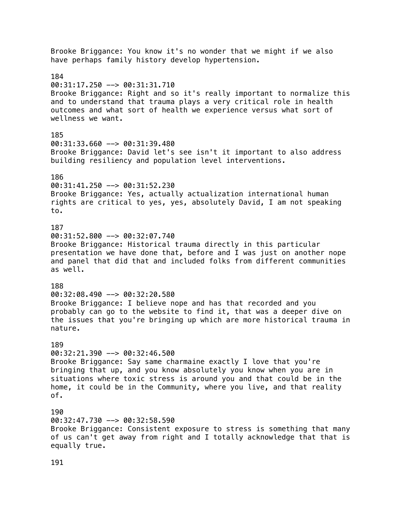Brooke Briggance: You know it's no wonder that we might if we also have perhaps family history develop hypertension. 184  $00:31:17.250$  -->  $00:31:31.710$ Brooke Briggance: Right and so it's really important to normalize this and to understand that trauma plays a very critical role in health outcomes and what sort of health we experience versus what sort of wellness we want. 185 00:31:33.660 --> 00:31:39.480 Brooke Briggance: David let's see isn't it important to also address building resiliency and population level interventions. 186 00:31:41.250 --> 00:31:52.230 Brooke Briggance: Yes, actually actualization international human rights are critical to yes, yes, absolutely David, I am not speaking to. 187 00:31:52.800 --> 00:32:07.740 Brooke Briggance: Historical trauma directly in this particular presentation we have done that, before and I was just on another nope and panel that did that and included folks from different communities as well. 188 00:32:08.490 --> 00:32:20.580 Brooke Briggance: I believe nope and has that recorded and you probably can go to the website to find it, that was a deeper dive on the issues that you're bringing up which are more historical trauma in nature. 189  $00:32:21.390$  -->  $00:32:46.500$ Brooke Briggance: Say same charmaine exactly I love that you're bringing that up, and you know absolutely you know when you are in situations where toxic stress is around you and that could be in the home, it could be in the Community, where you live, and that reality of. 190 00:32:47.730 --> 00:32:58.590 Brooke Briggance: Consistent exposure to stress is something that many of us can't get away from right and I totally acknowledge that that is equally true.

191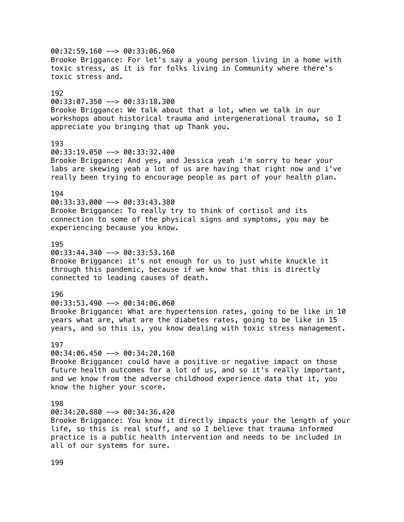00:32:59.160 --> 00:33:06.960 Brooke Briggance: For let's say a young person living in a home with toxic stress, as it is for folks living in Community where there's toxic stress and. 192 00:33:07.350 --> 00:33:18.300 Brooke Briggance: We talk about that a lot, when we talk in our workshops about historical trauma and intergenerational trauma, so I appreciate you bringing that up Thank you. 193 00:33:19.050 --> 00:33:32.400 Brooke Briggance: And yes, and Jessica yeah i'm sorry to hear your labs are skewing yeah a lot of us are having that right now and i've really been trying to encourage people as part of your health plan. 194 00:33:33.000 --> 00:33:43.380 Brooke Briggance: To really try to think of cortisol and its connection to some of the physical signs and symptoms, you may be experiencing because you know. 195 00:33:44.340 --> 00:33:53.160 Brooke Briggance: it's not enough for us to just white knuckle it through this pandemic, because if we know that this is directly connected to leading causes of death. 196 00:33:53.490 --> 00:34:06.060 Brooke Briggance: What are hypertension rates, going to be like in 10 years what are, what are the diabetes rates, going to be like in 15 years, and so this is, you know dealing with toxic stress management. 197 00:34:06.450 --> 00:34:20.160 Brooke Briggance: could have a positive or negative impact on those future health outcomes for a lot of us, and so it's really important, and we know from the adverse childhood experience data that it, you know the higher your score. 198 00:34:20.880 --> 00:34:36.420 Brooke Briggance: You know it directly impacts your the length of your life, so this is real stuff, and so I believe that trauma informed practice is a public health intervention and needs to be included in all of our systems for sure.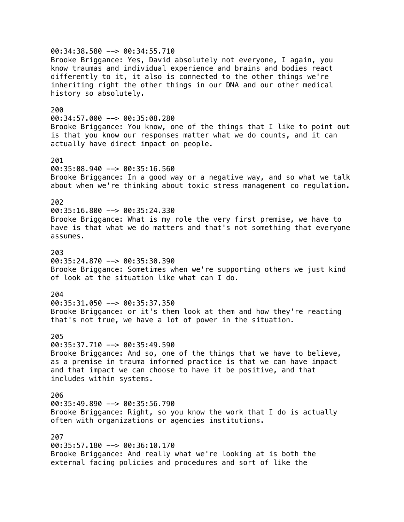00:34:38.580 --> 00:34:55.710 Brooke Briggance: Yes, David absolutely not everyone, I again, you know traumas and individual experience and brains and bodies react differently to it, it also is connected to the other things we're inheriting right the other things in our DNA and our other medical history so absolutely. 200 00:34:57.000 --> 00:35:08.280 Brooke Briggance: You know, one of the things that I like to point out is that you know our responses matter what we do counts, and it can actually have direct impact on people. 201 00:35:08.940 --> 00:35:16.560 Brooke Briggance: In a good way or a negative way, and so what we talk about when we're thinking about toxic stress management co regulation. 202  $00:35:16.800$  -->  $00:35:24.330$ Brooke Briggance: What is my role the very first premise, we have to have is that what we do matters and that's not something that everyone assumes. 203 00:35:24.870 --> 00:35:30.390 Brooke Briggance: Sometimes when we're supporting others we just kind of look at the situation like what can I do. 204 00:35:31.050 --> 00:35:37.350 Brooke Briggance: or it's them look at them and how they're reacting that's not true, we have a lot of power in the situation. 205 00:35:37.710 --> 00:35:49.590 Brooke Briggance: And so, one of the things that we have to believe, as a premise in trauma informed practice is that we can have impact and that impact we can choose to have it be positive, and that includes within systems. 206  $00:35:49.890$  -->  $00:35:56.790$ Brooke Briggance: Right, so you know the work that I do is actually often with organizations or agencies institutions. 207 00:35:57.180 --> 00:36:10.170 Brooke Briggance: And really what we're looking at is both the external facing policies and procedures and sort of like the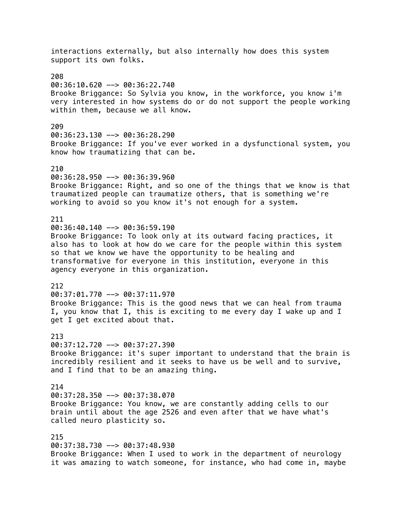interactions externally, but also internally how does this system support its own folks. 208 00:36:10.620 --> 00:36:22.740 Brooke Briggance: So Sylvia you know, in the workforce, you know i'm very interested in how systems do or do not support the people working within them, because we all know. 209 00:36:23.130 --> 00:36:28.290 Brooke Briggance: If you've ever worked in a dysfunctional system, you know how traumatizing that can be. 210 00:36:28.950 --> 00:36:39.960 Brooke Briggance: Right, and so one of the things that we know is that traumatized people can traumatize others, that is something we're working to avoid so you know it's not enough for a system. 211  $00:36:40.140$  -->  $00:36:59.190$ Brooke Briggance: To look only at its outward facing practices, it also has to look at how do we care for the people within this system so that we know we have the opportunity to be healing and transformative for everyone in this institution, everyone in this agency everyone in this organization. 212 00:37:01.770 --> 00:37:11.970 Brooke Briggance: This is the good news that we can heal from trauma I, you know that I, this is exciting to me every day I wake up and I get I get excited about that. 213 00:37:12.720 --> 00:37:27.390 Brooke Briggance: it's super important to understand that the brain is incredibly resilient and it seeks to have us be well and to survive, and I find that to be an amazing thing. 214 00:37:28.350 --> 00:37:38.070 Brooke Briggance: You know, we are constantly adding cells to our brain until about the age 2526 and even after that we have what's called neuro plasticity so. 215 00:37:38.730 --> 00:37:48.930 Brooke Briggance: When I used to work in the department of neurology it was amazing to watch someone, for instance, who had come in, maybe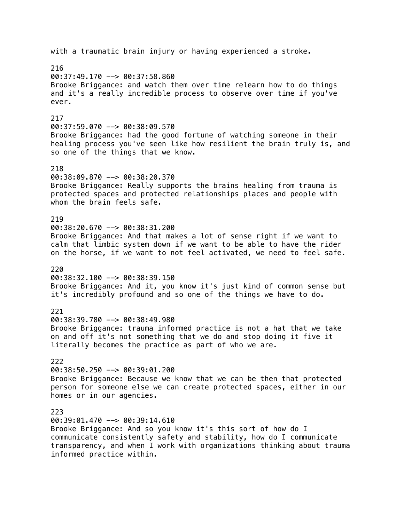with a traumatic brain injury or having experienced a stroke. 216 00:37:49.170 --> 00:37:58.860 Brooke Briggance: and watch them over time relearn how to do things and it's a really incredible process to observe over time if you've ever. 217 00:37:59.070 --> 00:38:09.570 Brooke Briggance: had the good fortune of watching someone in their healing process you've seen like how resilient the brain truly is, and so one of the things that we know. 218 00:38:09.870 --> 00:38:20.370 Brooke Briggance: Really supports the brains healing from trauma is protected spaces and protected relationships places and people with whom the brain feels safe. 219 00:38:20.670 --> 00:38:31.200 Brooke Briggance: And that makes a lot of sense right if we want to calm that limbic system down if we want to be able to have the rider on the horse, if we want to not feel activated, we need to feel safe. 220  $00:38:32.100$  -->  $00:38:39.150$ Brooke Briggance: And it, you know it's just kind of common sense but it's incredibly profound and so one of the things we have to do. 221 00:38:39.780 --> 00:38:49.980 Brooke Briggance: trauma informed practice is not a hat that we take on and off it's not something that we do and stop doing it five it literally becomes the practice as part of who we are. 222 00:38:50.250 --> 00:39:01.200 Brooke Briggance: Because we know that we can be then that protected person for someone else we can create protected spaces, either in our homes or in our agencies. 223 00:39:01.470 --> 00:39:14.610 Brooke Briggance: And so you know it's this sort of how do I communicate consistently safety and stability, how do I communicate transparency, and when I work with organizations thinking about trauma informed practice within.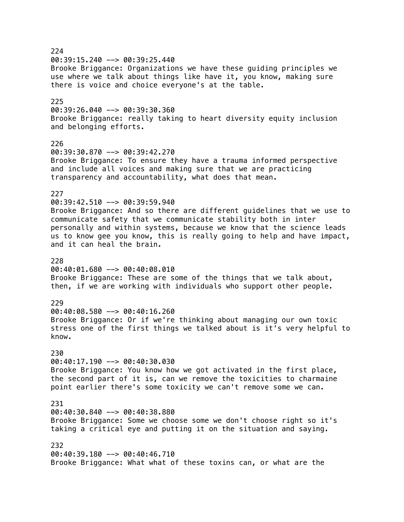224  $00:39:15.240$  -->  $00:39:25.440$ Brooke Briggance: Organizations we have these guiding principles we use where we talk about things like have it, you know, making sure there is voice and choice everyone's at the table. 225 00:39:26.040 --> 00:39:30.360 Brooke Briggance: really taking to heart diversity equity inclusion and belonging efforts. 226 00:39:30.870 --> 00:39:42.270 Brooke Briggance: To ensure they have a trauma informed perspective and include all voices and making sure that we are practicing transparency and accountability, what does that mean. 227 00:39:42.510 --> 00:39:59.940 Brooke Briggance: And so there are different guidelines that we use to communicate safety that we communicate stability both in inter personally and within systems, because we know that the science leads us to know gee you know, this is really going to help and have impact, and it can heal the brain. 228 00:40:01.680 --> 00:40:08.010 Brooke Briggance: These are some of the things that we talk about, then, if we are working with individuals who support other people. 229 00:40:08.580 --> 00:40:16.260 Brooke Briggance: Or if we're thinking about managing our own toxic stress one of the first things we talked about is it's very helpful to know. 230 00:40:17.190 --> 00:40:30.030 Brooke Briggance: You know how we got activated in the first place, the second part of it is, can we remove the toxicities to charmaine point earlier there's some toxicity we can't remove some we can. 231 00:40:30.840 --> 00:40:38.880 Brooke Briggance: Some we choose some we don't choose right so it's taking a critical eye and putting it on the situation and saying. 232 00:40:39.180 --> 00:40:46.710 Brooke Briggance: What what of these toxins can, or what are the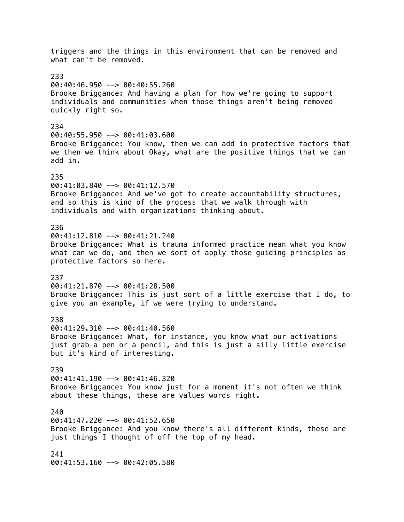triggers and the things in this environment that can be removed and what can't be removed. 233 00:40:46.950 --> 00:40:55.260 Brooke Briggance: And having a plan for how we're going to support individuals and communities when those things aren't being removed quickly right so. 234  $00:40:55.950$  -->  $00:41:03.600$ Brooke Briggance: You know, then we can add in protective factors that we then we think about Okay, what are the positive things that we can add in. 235 00:41:03.840 --> 00:41:12.570 Brooke Briggance: And we've got to create accountability structures, and so this is kind of the process that we walk through with individuals and with organizations thinking about. 236 00:41:12.810 --> 00:41:21.240 Brooke Briggance: What is trauma informed practice mean what you know what can we do, and then we sort of apply those guiding principles as protective factors so here. 237 00:41:21.870 --> 00:41:28.500 Brooke Briggance: This is just sort of a little exercise that I do, to give you an example, if we were trying to understand. 238 00:41:29.310 --> 00:41:40.560 Brooke Briggance: What, for instance, you know what our activations just grab a pen or a pencil, and this is just a silly little exercise but it's kind of interesting. 239  $00:41:41.190$  -->  $00:41:46.320$ Brooke Briggance: You know just for a moment it's not often we think about these things, these are values words right. 240 00:41:47.220 --> 00:41:52.650 Brooke Briggance: And you know there's all different kinds, these are just things I thought of off the top of my head. 241 00:41:53.160 --> 00:42:05.580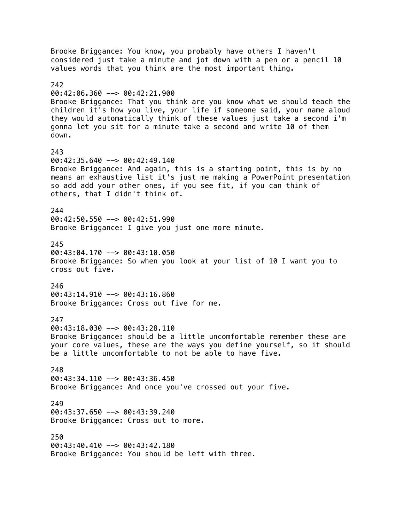Brooke Briggance: You know, you probably have others I haven't considered just take a minute and jot down with a pen or a pencil 10 values words that you think are the most important thing. 242 00:42:06.360 --> 00:42:21.900 Brooke Briggance: That you think are you know what we should teach the children it's how you live, your life if someone said, your name aloud they would automatically think of these values just take a second i'm gonna let you sit for a minute take a second and write 10 of them down. 243  $00:42:35.640$  -->  $00:42:49.140$ Brooke Briggance: And again, this is a starting point, this is by no means an exhaustive list it's just me making a PowerPoint presentation so add add your other ones, if you see fit, if you can think of others, that I didn't think of. 244 00:42:50.550 --> 00:42:51.990 Brooke Briggance: I give you just one more minute. 245 00:43:04.170 --> 00:43:10.050 Brooke Briggance: So when you look at your list of 10 I want you to cross out five. 246 00:43:14.910 --> 00:43:16.860 Brooke Briggance: Cross out five for me. 247 00:43:18.030 --> 00:43:28.110 Brooke Briggance: should be a little uncomfortable remember these are your core values, these are the ways you define yourself, so it should be a little uncomfortable to not be able to have five. 248 00:43:34.110 --> 00:43:36.450 Brooke Briggance: And once you've crossed out your five. 249 00:43:37.650 --> 00:43:39.240 Brooke Briggance: Cross out to more. 250 00:43:40.410 --> 00:43:42.180 Brooke Briggance: You should be left with three.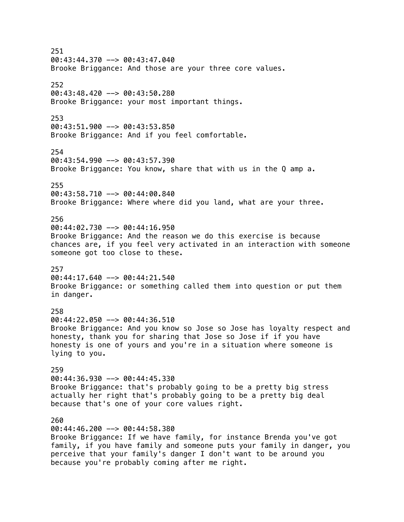251  $00:43:44.370$  -->  $00:43:47.040$ Brooke Briggance: And those are your three core values. 252 00:43:48.420 --> 00:43:50.280 Brooke Briggance: your most important things. 253 00:43:51.900 --> 00:43:53.850 Brooke Briggance: And if you feel comfortable. 254 00:43:54.990 --> 00:43:57.390 Brooke Briggance: You know, share that with us in the Q amp a. 255 00:43:58.710 --> 00:44:00.840 Brooke Briggance: Where where did you land, what are your three. 256 00:44:02.730 --> 00:44:16.950 Brooke Briggance: And the reason we do this exercise is because chances are, if you feel very activated in an interaction with someone someone got too close to these. 257  $00:44:17.640$  -->  $00:44:21.540$ Brooke Briggance: or something called them into question or put them in danger. 258 00:44:22.050 --> 00:44:36.510 Brooke Briggance: And you know so Jose so Jose has loyalty respect and honesty, thank you for sharing that Jose so Jose if if you have honesty is one of yours and you're in a situation where someone is lying to you. 259 00:44:36.930 --> 00:44:45.330 Brooke Briggance: that's probably going to be a pretty big stress actually her right that's probably going to be a pretty big deal because that's one of your core values right. 260 00:44:46.200 --> 00:44:58.380 Brooke Briggance: If we have family, for instance Brenda you've got family, if you have family and someone puts your family in danger, you perceive that your family's danger I don't want to be around you because you're probably coming after me right.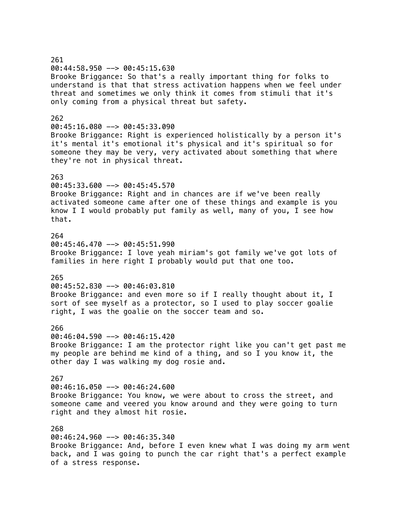# 261 00:44:58.950 --> 00:45:15.630 Brooke Briggance: So that's a really important thing for folks to understand is that that stress activation happens when we feel under threat and sometimes we only think it comes from stimuli that it's only coming from a physical threat but safety. 262 00:45:16.080 --> 00:45:33.090 Brooke Briggance: Right is experienced holistically by a person it's it's mental it's emotional it's physical and it's spiritual so for someone they may be very, very activated about something that where they're not in physical threat. 263 00:45:33.600 --> 00:45:45.570 Brooke Briggance: Right and in chances are if we've been really activated someone came after one of these things and example is you know I I would probably put family as well, many of you, I see how that. 264  $00:45:46.470$  -->  $00:45:51.990$ Brooke Briggance: I love yeah miriam's got family we've got lots of families in here right I probably would put that one too. 265 00:45:52.830 --> 00:46:03.810 Brooke Briggance: and even more so if I really thought about it, I sort of see myself as a protector, so I used to play soccer goalie right, I was the goalie on the soccer team and so. 266 00:46:04.590 --> 00:46:15.420 Brooke Briggance: I am the protector right like you can't get past me my people are behind me kind of a thing, and so I you know it, the other day I was walking my dog rosie and. 267 00:46:16.050 --> 00:46:24.600 Brooke Briggance: You know, we were about to cross the street, and someone came and veered you know around and they were going to turn right and they almost hit rosie. 268 00:46:24.960 --> 00:46:35.340 Brooke Briggance: And, before I even knew what I was doing my arm went back, and I was going to punch the car right that's a perfect example

of a stress response.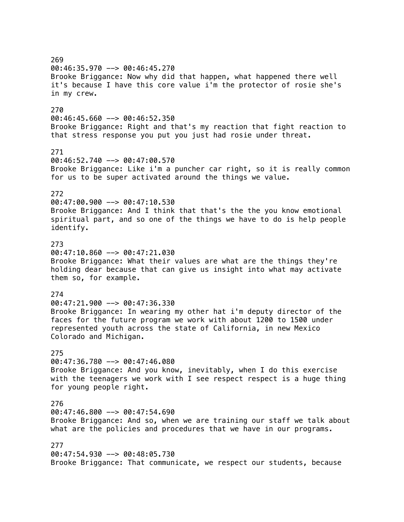269 00:46:35.970 --> 00:46:45.270 Brooke Briggance: Now why did that happen, what happened there well it's because I have this core value i'm the protector of rosie she's in my crew. 270 00:46:45.660 --> 00:46:52.350 Brooke Briggance: Right and that's my reaction that fight reaction to that stress response you put you just had rosie under threat. 271 00:46:52.740 --> 00:47:00.570 Brooke Briggance: Like i'm a puncher car right, so it is really common for us to be super activated around the things we value. 272 00:47:00.900 --> 00:47:10.530 Brooke Briggance: And I think that that's the the you know emotional spiritual part, and so one of the things we have to do is help people identify. 273  $00:47:10.860$  -->  $00:47:21.030$ Brooke Briggance: What their values are what are the things they're holding dear because that can give us insight into what may activate them so, for example. 274 00:47:21.900 --> 00:47:36.330 Brooke Briggance: In wearing my other hat i'm deputy director of the faces for the future program we work with about 1200 to 1500 under represented youth across the state of California, in new Mexico Colorado and Michigan. 275 00:47:36.780 --> 00:47:46.080 Brooke Briggance: And you know, inevitably, when I do this exercise with the teenagers we work with I see respect respect is a huge thing for young people right. 276 00:47:46.800 --> 00:47:54.690 Brooke Briggance: And so, when we are training our staff we talk about what are the policies and procedures that we have in our programs. 277 00:47:54.930 --> 00:48:05.730 Brooke Briggance: That communicate, we respect our students, because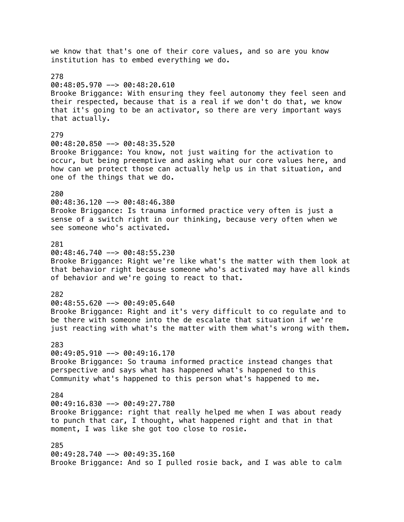we know that that's one of their core values, and so are you know institution has to embed everything we do. 278  $00:48:05.970$  -->  $00:48:20.610$ Brooke Briggance: With ensuring they feel autonomy they feel seen and their respected, because that is a real if we don't do that, we know that it's going to be an activator, so there are very important ways that actually. 279 00:48:20.850 --> 00:48:35.520 Brooke Briggance: You know, not just waiting for the activation to occur, but being preemptive and asking what our core values here, and how can we protect those can actually help us in that situation, and one of the things that we do. 280 00:48:36.120 --> 00:48:46.380 Brooke Briggance: Is trauma informed practice very often is just a sense of a switch right in our thinking, because very often when we see someone who's activated. 281  $00:48:46.740$  -->  $00:48:55.230$ Brooke Briggance: Right we're like what's the matter with them look at that behavior right because someone who's activated may have all kinds of behavior and we're going to react to that. 282 00:48:55.620 --> 00:49:05.640 Brooke Briggance: Right and it's very difficult to co regulate and to be there with someone into the de escalate that situation if we're just reacting with what's the matter with them what's wrong with them. 283  $00:49:05.910$  -->  $00:49:16.170$ Brooke Briggance: So trauma informed practice instead changes that perspective and says what has happened what's happened to this Community what's happened to this person what's happened to me. 284  $00:49:16.830$  -->  $00:49:27.780$ Brooke Briggance: right that really helped me when I was about ready to punch that car, I thought, what happened right and that in that moment, I was like she got too close to rosie. 285 00:49:28.740 --> 00:49:35.160 Brooke Briggance: And so I pulled rosie back, and I was able to calm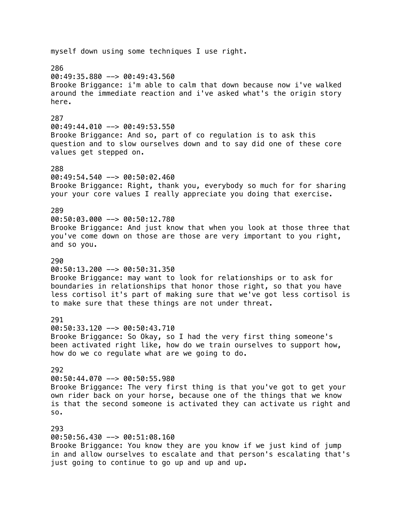myself down using some techniques I use right. 286 00:49:35.880 --> 00:49:43.560 Brooke Briggance: i'm able to calm that down because now i've walked around the immediate reaction and i've asked what's the origin story here. 287 00:49:44.010 --> 00:49:53.550 Brooke Briggance: And so, part of co regulation is to ask this question and to slow ourselves down and to say did one of these core values get stepped on. 288 00:49:54.540 --> 00:50:02.460 Brooke Briggance: Right, thank you, everybody so much for for sharing your your core values I really appreciate you doing that exercise. 289 00:50:03.000 --> 00:50:12.780 Brooke Briggance: And just know that when you look at those three that you've come down on those are those are very important to you right, and so you. 290 00:50:13.200 --> 00:50:31.350 Brooke Briggance: may want to look for relationships or to ask for boundaries in relationships that honor those right, so that you have less cortisol it's part of making sure that we've got less cortisol is to make sure that these things are not under threat. 291 00:50:33.120 --> 00:50:43.710 Brooke Briggance: So Okay, so I had the very first thing someone's been activated right like, how do we train ourselves to support how, how do we co regulate what are we going to do. 292 00:50:44.070 --> 00:50:55.980 Brooke Briggance: The very first thing is that you've got to get your own rider back on your horse, because one of the things that we know is that the second someone is activated they can activate us right and so. 293 00:50:56.430 --> 00:51:08.160 Brooke Briggance: You know they are you know if we just kind of jump in and allow ourselves to escalate and that person's escalating that's just going to continue to go up and up and up.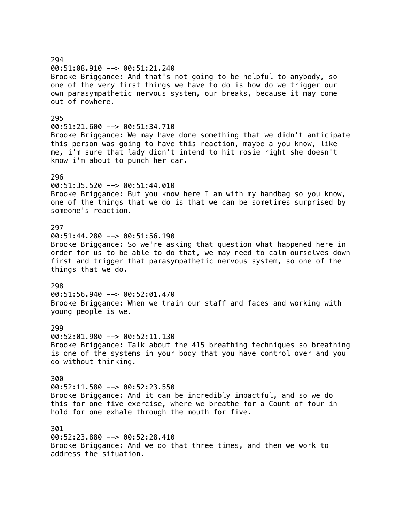294 00:51:08.910 --> 00:51:21.240 Brooke Briggance: And that's not going to be helpful to anybody, so one of the very first things we have to do is how do we trigger our own parasympathetic nervous system, our breaks, because it may come out of nowhere. 295 00:51:21.600 --> 00:51:34.710 Brooke Briggance: We may have done something that we didn't anticipate this person was going to have this reaction, maybe a you know, like me, i'm sure that lady didn't intend to hit rosie right she doesn't know i'm about to punch her car. 296 00:51:35.520 --> 00:51:44.010 Brooke Briggance: But you know here I am with my handbag so you know, one of the things that we do is that we can be sometimes surprised by someone's reaction. 297 00:51:44.280 --> 00:51:56.190 Brooke Briggance: So we're asking that question what happened here in order for us to be able to do that, we may need to calm ourselves down first and trigger that parasympathetic nervous system, so one of the things that we do. 298 00:51:56.940 --> 00:52:01.470 Brooke Briggance: When we train our staff and faces and working with young people is we. 299 00:52:01.980 --> 00:52:11.130 Brooke Briggance: Talk about the 415 breathing techniques so breathing is one of the systems in your body that you have control over and you do without thinking. 300 00:52:11.580 --> 00:52:23.550 Brooke Briggance: And it can be incredibly impactful, and so we do this for one five exercise, where we breathe for a Count of four in hold for one exhale through the mouth for five. 301 00:52:23.880 --> 00:52:28.410 Brooke Briggance: And we do that three times, and then we work to address the situation.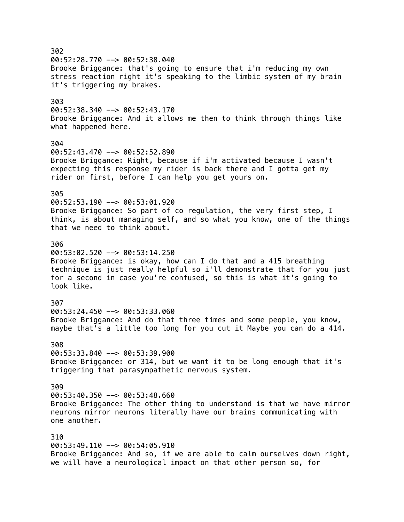302  $00:52:28.770$  -->  $00:52:38.040$ Brooke Briggance: that's going to ensure that i'm reducing my own stress reaction right it's speaking to the limbic system of my brain it's triggering my brakes. 303  $00:52:38.340$  -->  $00:52:43.170$ Brooke Briggance: And it allows me then to think through things like what happened here. 304 00:52:43.470 --> 00:52:52.890 Brooke Briggance: Right, because if i'm activated because I wasn't expecting this response my rider is back there and I gotta get my rider on first, before I can help you get yours on. 305 00:52:53.190 --> 00:53:01.920 Brooke Briggance: So part of co regulation, the very first step, I think, is about managing self, and so what you know, one of the things that we need to think about. 306  $00:53:02.520$  -->  $00:53:14.250$ Brooke Briggance: is okay, how can I do that and a 415 breathing technique is just really helpful so i'll demonstrate that for you just for a second in case you're confused, so this is what it's going to look like. 307 00:53:24.450 --> 00:53:33.060 Brooke Briggance: And do that three times and some people, you know, maybe that's a little too long for you cut it Maybe you can do a 414. 308  $00:53:33.840$  -->  $00:53:39.900$ Brooke Briggance: or 314, but we want it to be long enough that it's triggering that parasympathetic nervous system. 309 00:53:40.350 --> 00:53:48.660 Brooke Briggance: The other thing to understand is that we have mirror neurons mirror neurons literally have our brains communicating with one another. 310 00:53:49.110 --> 00:54:05.910 Brooke Briggance: And so, if we are able to calm ourselves down right, we will have a neurological impact on that other person so, for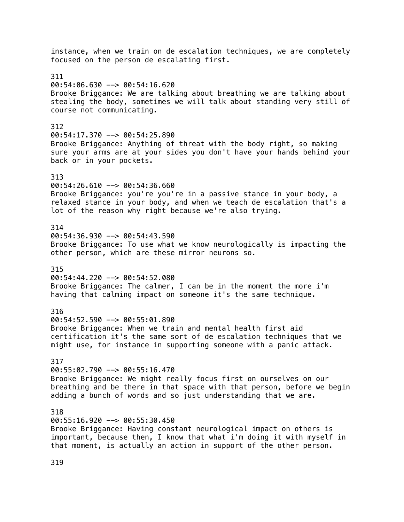instance, when we train on de escalation techniques, we are completely focused on the person de escalating first. 311 00:54:06.630 --> 00:54:16.620 Brooke Briggance: We are talking about breathing we are talking about stealing the body, sometimes we will talk about standing very still of course not communicating. 312  $00:54:17.370$  -->  $00:54:25.890$ Brooke Briggance: Anything of threat with the body right, so making sure your arms are at your sides you don't have your hands behind your back or in your pockets. 313 00:54:26.610 --> 00:54:36.660 Brooke Briggance: you're you're in a passive stance in your body, a relaxed stance in your body, and when we teach de escalation that's a lot of the reason why right because we're also trying. 314 00:54:36.930 --> 00:54:43.590 Brooke Briggance: To use what we know neurologically is impacting the other person, which are these mirror neurons so. 315 00:54:44.220 --> 00:54:52.080 Brooke Briggance: The calmer, I can be in the moment the more i'm having that calming impact on someone it's the same technique. 316 00:54:52.590 --> 00:55:01.890 Brooke Briggance: When we train and mental health first aid certification it's the same sort of de escalation techniques that we might use, for instance in supporting someone with a panic attack. 317 00:55:02.790 --> 00:55:16.470 Brooke Briggance: We might really focus first on ourselves on our breathing and be there in that space with that person, before we begin adding a bunch of words and so just understanding that we are. 318 00:55:16.920 --> 00:55:30.450 Brooke Briggance: Having constant neurological impact on others is important, because then, I know that what i'm doing it with myself in that moment, is actually an action in support of the other person.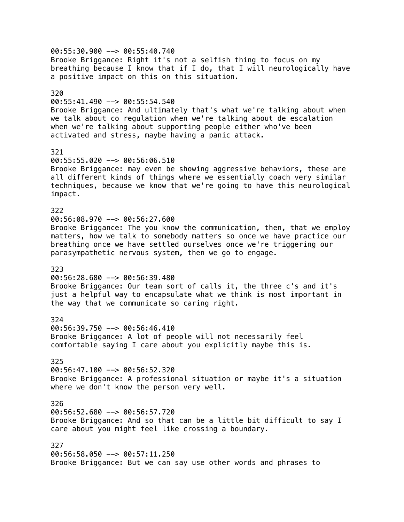00:55:30.900 --> 00:55:40.740 Brooke Briggance: Right it's not a selfish thing to focus on my breathing because I know that if I do, that I will neurologically have a positive impact on this on this situation. 320 00:55:41.490 --> 00:55:54.540 Brooke Briggance: And ultimately that's what we're talking about when we talk about co regulation when we're talking about de escalation when we're talking about supporting people either who've been activated and stress, maybe having a panic attack. 321 00:55:55.020 --> 00:56:06.510 Brooke Briggance: may even be showing aggressive behaviors, these are all different kinds of things where we essentially coach very similar techniques, because we know that we're going to have this neurological impact. 322 00:56:08.970 --> 00:56:27.600 Brooke Briggance: The you know the communication, then, that we employ matters, how we talk to somebody matters so once we have practice our breathing once we have settled ourselves once we're triggering our parasympathetic nervous system, then we go to engage. 323 00:56:28.680 --> 00:56:39.480 Brooke Briggance: Our team sort of calls it, the three c's and it's just a helpful way to encapsulate what we think is most important in the way that we communicate so caring right. 324 00:56:39.750 --> 00:56:46.410 Brooke Briggance: A lot of people will not necessarily feel comfortable saying I care about you explicitly maybe this is. 325 00:56:47.100 --> 00:56:52.320 Brooke Briggance: A professional situation or maybe it's a situation where we don't know the person very well. 326 00:56:52.680 --> 00:56:57.720 Brooke Briggance: And so that can be a little bit difficult to say I care about you might feel like crossing a boundary. 327 00:56:58.050 --> 00:57:11.250 Brooke Briggance: But we can say use other words and phrases to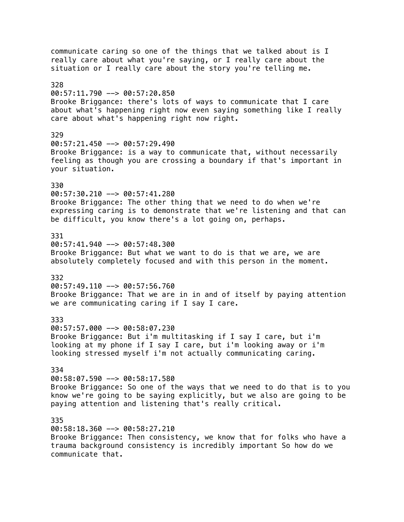communicate caring so one of the things that we talked about is I really care about what you're saying, or I really care about the situation or I really care about the story you're telling me. 328 00:57:11.790 --> 00:57:20.850 Brooke Briggance: there's lots of ways to communicate that I care about what's happening right now even saying something like I really care about what's happening right now right. 329 00:57:21.450 --> 00:57:29.490 Brooke Briggance: is a way to communicate that, without necessarily feeling as though you are crossing a boundary if that's important in your situation. 330 00:57:30.210 --> 00:57:41.280 Brooke Briggance: The other thing that we need to do when we're expressing caring is to demonstrate that we're listening and that can be difficult, you know there's a lot going on, perhaps. 331  $00:57:41.940$  -->  $00:57:48.300$ Brooke Briggance: But what we want to do is that we are, we are absolutely completely focused and with this person in the moment. 332 00:57:49.110 --> 00:57:56.760 Brooke Briggance: That we are in in and of itself by paying attention we are communicating caring if I say I care. 333 00:57:57.000 --> 00:58:07.230 Brooke Briggance: But i'm multitasking if I say I care, but i'm looking at my phone if I say I care, but i'm looking away or i'm looking stressed myself i'm not actually communicating caring. 334  $00:58:07.590$  -->  $00:58:17.580$ Brooke Briggance: So one of the ways that we need to do that is to you know we're going to be saying explicitly, but we also are going to be paying attention and listening that's really critical. 335 00:58:18.360 --> 00:58:27.210 Brooke Briggance: Then consistency, we know that for folks who have a trauma background consistency is incredibly important So how do we communicate that.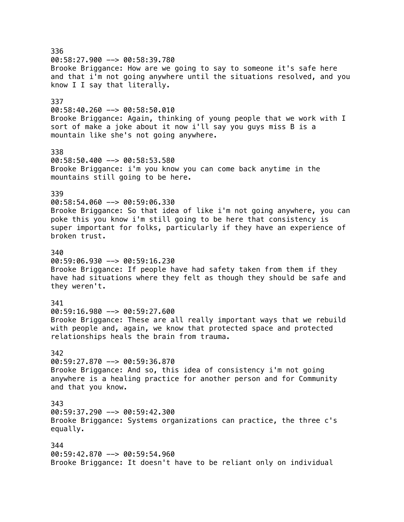336  $00:58:27.900$  -->  $00:58:39.780$ Brooke Briggance: How are we going to say to someone it's safe here and that i'm not going anywhere until the situations resolved, and you know I I say that literally. 337 00:58:40.260 --> 00:58:50.010 Brooke Briggance: Again, thinking of young people that we work with I sort of make a joke about it now i'll say you guys miss B is a mountain like she's not going anywhere. 338 00:58:50.400 --> 00:58:53.580 Brooke Briggance: i'm you know you can come back anytime in the mountains still going to be here. 339 00:58:54.060 --> 00:59:06.330 Brooke Briggance: So that idea of like i'm not going anywhere, you can poke this you know i'm still going to be here that consistency is super important for folks, particularly if they have an experience of broken trust. 340 00:59:06.930 --> 00:59:16.230 Brooke Briggance: If people have had safety taken from them if they have had situations where they felt as though they should be safe and they weren't. 341 00:59:16.980 --> 00:59:27.600 Brooke Briggance: These are all really important ways that we rebuild with people and, again, we know that protected space and protected relationships heals the brain from trauma. 342 00:59:27.870 --> 00:59:36.870 Brooke Briggance: And so, this idea of consistency i'm not going anywhere is a healing practice for another person and for Community and that you know. 343 00:59:37.290 --> 00:59:42.300 Brooke Briggance: Systems organizations can practice, the three c's equally. 344 00:59:42.870 --> 00:59:54.960 Brooke Briggance: It doesn't have to be reliant only on individual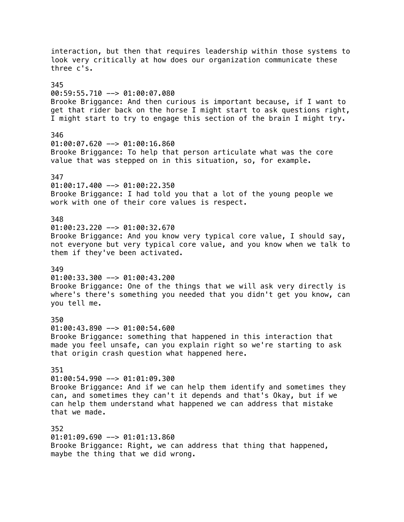interaction, but then that requires leadership within those systems to look very critically at how does our organization communicate these three c's. 345 00:59:55.710 --> 01:00:07.080 Brooke Briggance: And then curious is important because, if I want to get that rider back on the horse I might start to ask questions right, I might start to try to engage this section of the brain I might try. 346 01:00:07.620 --> 01:00:16.860 Brooke Briggance: To help that person articulate what was the core value that was stepped on in this situation, so, for example. 347 01:00:17.400 --> 01:00:22.350 Brooke Briggance: I had told you that a lot of the young people we work with one of their core values is respect. 348  $01:00:23.220$  -->  $01:00:32.670$ Brooke Briggance: And you know very typical core value, I should say, not everyone but very typical core value, and you know when we talk to them if they've been activated. 349 01:00:33.300 --> 01:00:43.200 Brooke Briggance: One of the things that we will ask very directly is where's there's something you needed that you didn't get you know, can you tell me. 350 01:00:43.890 --> 01:00:54.600 Brooke Briggance: something that happened in this interaction that made you feel unsafe, can you explain right so we're starting to ask that origin crash question what happened here. 351  $01:00:54.990$  -->  $01:01:09.300$ Brooke Briggance: And if we can help them identify and sometimes they can, and sometimes they can't it depends and that's Okay, but if we can help them understand what happened we can address that mistake that we made. 352 01:01:09.690 --> 01:01:13.860 Brooke Briggance: Right, we can address that thing that happened,

maybe the thing that we did wrong.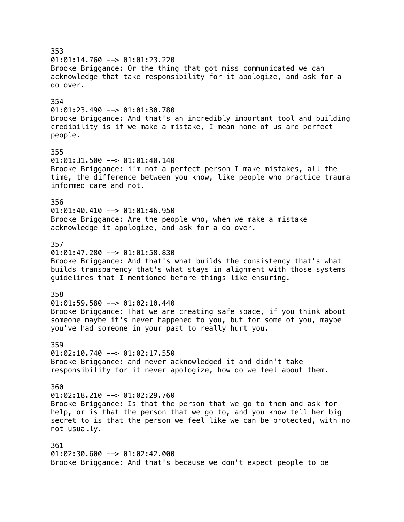353  $01:01:14.760$  -->  $01:01:23.220$ Brooke Briggance: Or the thing that got miss communicated we can acknowledge that take responsibility for it apologize, and ask for a do over. 354 01:01:23.490 --> 01:01:30.780 Brooke Briggance: And that's an incredibly important tool and building credibility is if we make a mistake, I mean none of us are perfect people. 355 01:01:31.500 --> 01:01:40.140 Brooke Briggance: i'm not a perfect person I make mistakes, all the time, the difference between you know, like people who practice trauma informed care and not. 356  $01:01:40.410$  -->  $01:01:46.950$ Brooke Briggance: Are the people who, when we make a mistake acknowledge it apologize, and ask for a do over. 357  $01:01:47.280$  -->  $01:01:58.830$ Brooke Briggance: And that's what builds the consistency that's what builds transparency that's what stays in alignment with those systems guidelines that I mentioned before things like ensuring. 358 01:01:59.580 --> 01:02:10.440 Brooke Briggance: That we are creating safe space, if you think about someone maybe it's never happened to you, but for some of you, maybe you've had someone in your past to really hurt you. 359  $01:02:10.740$  -->  $01:02:17.550$ Brooke Briggance: and never acknowledged it and didn't take responsibility for it never apologize, how do we feel about them. 360  $01:02:18.210$  -->  $01:02:29.760$ Brooke Briggance: Is that the person that we go to them and ask for help, or is that the person that we go to, and you know tell her big secret to is that the person we feel like we can be protected, with no not usually. 361  $01:02:30.600$  -->  $01:02:42.000$ Brooke Briggance: And that's because we don't expect people to be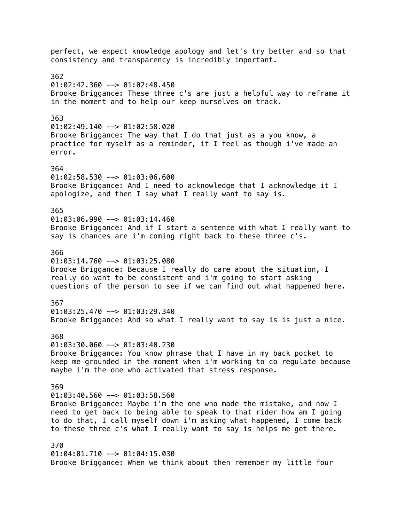perfect, we expect knowledge apology and let's try better and so that consistency and transparency is incredibly important. 362  $01:02:42.360$  -->  $01:02:48.450$ Brooke Briggance: These three c's are just a helpful way to reframe it in the moment and to help our keep ourselves on track. 363  $01:02:49.140$  -->  $01:02:58.020$ Brooke Briggance: The way that I do that just as a you know, a practice for myself as a reminder, if I feel as though i've made an error. 364 01:02:58.530 --> 01:03:06.600 Brooke Briggance: And I need to acknowledge that I acknowledge it I apologize, and then I say what I really want to say is. 365  $01:03:06.990$  -->  $01:03:14.460$ Brooke Briggance: And if I start a sentence with what I really want to say is chances are i'm coming right back to these three c's. 366  $01:03:14.760$  -->  $01:03:25.080$ Brooke Briggance: Because I really do care about the situation, I really do want to be consistent and i'm going to start asking questions of the person to see if we can find out what happened here. 367  $01:03:25.470$  -->  $01:03:29.340$ Brooke Briggance: And so what I really want to say is is just a nice. 368 01:03:30.060 --> 01:03:40.230 Brooke Briggance: You know phrase that I have in my back pocket to keep me grounded in the moment when i'm working to co regulate because maybe i'm the one who activated that stress response. 369  $01:03:40.560$  -->  $01:03:58.560$ Brooke Briggance: Maybe i'm the one who made the mistake, and now I need to get back to being able to speak to that rider how am I going to do that, I call myself down i'm asking what happened, I come back to these three c's what I really want to say is helps me get there. 370 01:04:01.710 --> 01:04:15.030 Brooke Briggance: When we think about then remember my little four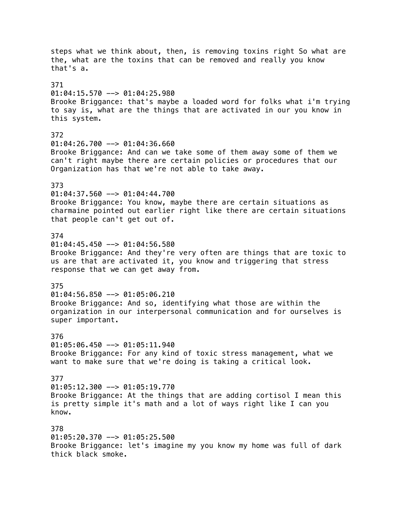steps what we think about, then, is removing toxins right So what are the, what are the toxins that can be removed and really you know that's a. 371  $01:04:15.570$  -->  $01:04:25.980$ Brooke Briggance: that's maybe a loaded word for folks what i'm trying to say is, what are the things that are activated in our you know in this system. 372 01:04:26.700 --> 01:04:36.660 Brooke Briggance: And can we take some of them away some of them we can't right maybe there are certain policies or procedures that our Organization has that we're not able to take away. 373 01:04:37.560 --> 01:04:44.700 Brooke Briggance: You know, maybe there are certain situations as charmaine pointed out earlier right like there are certain situations that people can't get out of. 374  $01:04:45.450$  -->  $01:04:56.580$ Brooke Briggance: And they're very often are things that are toxic to us are that are activated it, you know and triggering that stress response that we can get away from. 375 01:04:56.850 --> 01:05:06.210 Brooke Briggance: And so, identifying what those are within the organization in our interpersonal communication and for ourselves is super important. 376 01:05:06.450 --> 01:05:11.940 Brooke Briggance: For any kind of toxic stress management, what we want to make sure that we're doing is taking a critical look. 377 01:05:12.300 --> 01:05:19.770 Brooke Briggance: At the things that are adding cortisol I mean this is pretty simple it's math and a lot of ways right like I can you know. 378 01:05:20.370 --> 01:05:25.500 Brooke Briggance: let's imagine my you know my home was full of dark thick black smoke.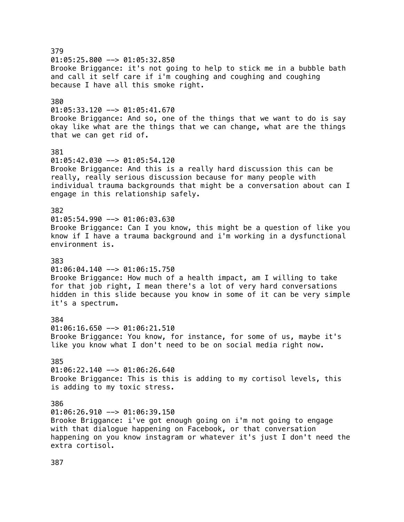379  $01:05:25.800$  -->  $01:05:32.850$ Brooke Briggance: it's not going to help to stick me in a bubble bath and call it self care if i'm coughing and coughing and coughing because I have all this smoke right. 380  $01:05:33.120$  -->  $01:05:41.670$ Brooke Briggance: And so, one of the things that we want to do is say okay like what are the things that we can change, what are the things that we can get rid of. 381 01:05:42.030 --> 01:05:54.120 Brooke Briggance: And this is a really hard discussion this can be really, really serious discussion because for many people with individual trauma backgrounds that might be a conversation about can I engage in this relationship safely. 382  $01:05:54.990$  -->  $01:06:03.630$ Brooke Briggance: Can I you know, this might be a question of like you know if I have a trauma background and i'm working in a dysfunctional environment is. 383  $01:06:04.140$  -->  $01:06:15.750$ Brooke Briggance: How much of a health impact, am I willing to take for that job right, I mean there's a lot of very hard conversations hidden in this slide because you know in some of it can be very simple it's a spectrum. 384  $01:06:16.650$  -->  $01:06:21.510$ Brooke Briggance: You know, for instance, for some of us, maybe it's like you know what I don't need to be on social media right now. 385  $01:06:22.140$  -->  $01:06:26.640$ Brooke Briggance: This is this is adding to my cortisol levels, this is adding to my toxic stress. 386  $01:06:26.910$  -->  $01:06:39.150$ Brooke Briggance: i've got enough going on i'm not going to engage with that dialogue happening on Facebook, or that conversation happening on you know instagram or whatever it's just I don't need the extra cortisol.

387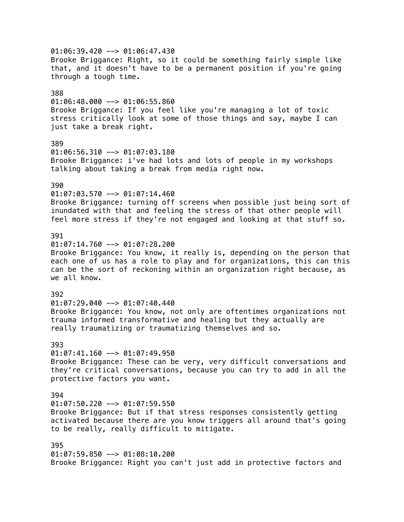$01:06:39.420$  -->  $01:06:47.430$ Brooke Briggance: Right, so it could be something fairly simple like that, and it doesn't have to be a permanent position if you're going through a tough time. 388  $01:06:48.000$  -->  $01:06:55.860$ Brooke Briggance: If you feel like you're managing a lot of toxic stress critically look at some of those things and say, maybe I can just take a break right. 389 01:06:56.310 --> 01:07:03.180 Brooke Briggance: i've had lots and lots of people in my workshops talking about taking a break from media right now. 390 01:07:03.570 --> 01:07:14.460 Brooke Briggance: turning off screens when possible just being sort of inundated with that and feeling the stress of that other people will feel more stress if they're not engaged and looking at that stuff so. 391  $01:07:14.760$  -->  $01:07:28.200$ Brooke Briggance: You know, it really is, depending on the person that each one of us has a role to play and for organizations, this can this can be the sort of reckoning within an organization right because, as we all know. 392  $01:07:29.040$  -->  $01:07:40.440$ Brooke Briggance: You know, not only are oftentimes organizations not trauma informed transformative and healing but they actually are really traumatizing or traumatizing themselves and so. 393  $01:07:41.160$  -->  $01:07:49.950$ Brooke Briggance: These can be very, very difficult conversations and they're critical conversations, because you can try to add in all the protective factors you want. 394  $01:07:50.220$  -->  $01:07:59.550$ Brooke Briggance: But if that stress responses consistently getting activated because there are you know triggers all around that's going to be really, really difficult to mitigate. 395 01:07:59.850 --> 01:08:10.200 Brooke Briggance: Right you can't just add in protective factors and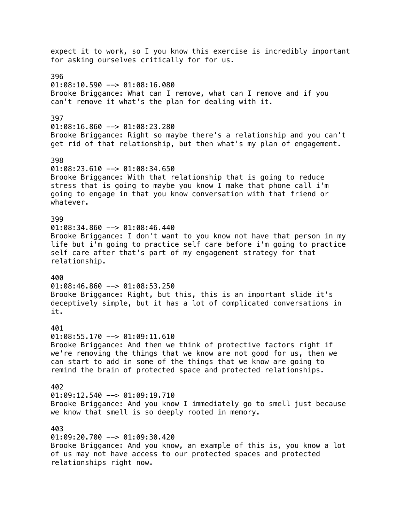expect it to work, so I you know this exercise is incredibly important for asking ourselves critically for for us. 396 01:08:10.590 --> 01:08:16.080 Brooke Briggance: What can I remove, what can I remove and if you can't remove it what's the plan for dealing with it. 397  $01:08:16.860$  -->  $01:08:23.280$ Brooke Briggance: Right so maybe there's a relationship and you can't get rid of that relationship, but then what's my plan of engagement. 398  $01:08:23.610$  -->  $01:08:34.650$ Brooke Briggance: With that relationship that is going to reduce stress that is going to maybe you know I make that phone call i'm going to engage in that you know conversation with that friend or whatever. 399  $01:08:34.860$  -->  $01:08:46.440$ Brooke Briggance: I don't want to you know not have that person in my life but i'm going to practice self care before i'm going to practice self care after that's part of my engagement strategy for that relationship. 400  $01:08:46.860$  -->  $01:08:53.250$ Brooke Briggance: Right, but this, this is an important slide it's deceptively simple, but it has a lot of complicated conversations in it. 401  $01:08:55.170$  -->  $01:09:11.610$ Brooke Briggance: And then we think of protective factors right if we're removing the things that we know are not good for us, then we can start to add in some of the things that we know are going to remind the brain of protected space and protected relationships. 402  $01:09:12.540$  -->  $01:09:19.710$ Brooke Briggance: And you know I immediately go to smell just because we know that smell is so deeply rooted in memory. 403 01:09:20.700 --> 01:09:30.420 Brooke Briggance: And you know, an example of this is, you know a lot of us may not have access to our protected spaces and protected

relationships right now.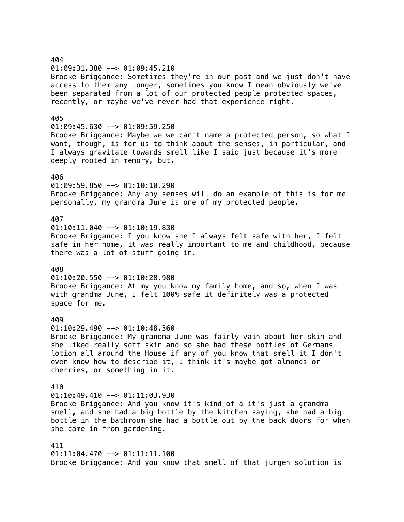# 404 01:09:31.380 --> 01:09:45.210 Brooke Briggance: Sometimes they're in our past and we just don't have access to them any longer, sometimes you know I mean obviously we've been separated from a lot of our protected people protected spaces, recently, or maybe we've never had that experience right. 405  $01:09:45.630$  -->  $01:09:59.250$ Brooke Briggance: Maybe we we can't name a protected person, so what I want, though, is for us to think about the senses, in particular, and I always gravitate towards smell like I said just because it's more deeply rooted in memory, but. 406 01:09:59.850 --> 01:10:10.290 Brooke Briggance: Any any senses will do an example of this is for me personally, my grandma June is one of my protected people. 407  $01:10:11.040$  -->  $01:10:19.830$ Brooke Briggance: I you know she I always felt safe with her, I felt safe in her home, it was really important to me and childhood, because there was a lot of stuff going in. 408  $01:10:20.550$  -->  $01:10:28.980$ Brooke Briggance: At my you know my family home, and so, when I was with grandma June, I felt 100% safe it definitely was a protected space for me. 409  $01:10:29.490$  -->  $01:10:48.360$ Brooke Briggance: My grandma June was fairly vain about her skin and she liked really soft skin and so she had these bottles of Germans lotion all around the House if any of you know that smell it I don't even know how to describe it, I think it's maybe got almonds or cherries, or something in it. 410  $01:10:49.410$  -->  $01:11:03.930$ Brooke Briggance: And you know it's kind of a it's just a grandma smell, and she had a big bottle by the kitchen saying, she had a big bottle in the bathroom she had a bottle out by the back doors for when she came in from gardening. 411 01:11:04.470 --> 01:11:11.100 Brooke Briggance: And you know that smell of that jurgen solution is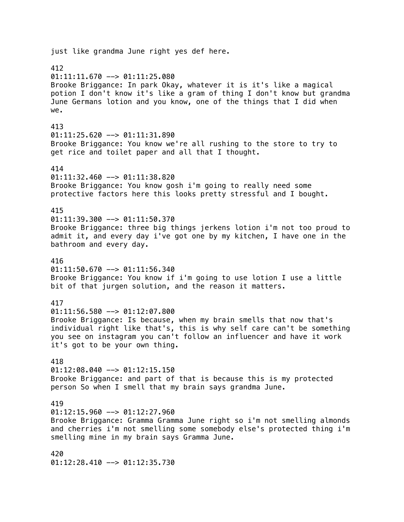just like grandma June right yes def here. 412  $01:11:11.670$  -->  $01:11:25.080$ Brooke Briggance: In park Okay, whatever it is it's like a magical potion I don't know it's like a gram of thing I don't know but grandma June Germans lotion and you know, one of the things that I did when we. 413 01:11:25.620 --> 01:11:31.890 Brooke Briggance: You know we're all rushing to the store to try to get rice and toilet paper and all that I thought. 414 01:11:32.460 --> 01:11:38.820 Brooke Briggance: You know gosh i'm going to really need some protective factors here this looks pretty stressful and I bought. 415  $01:11:39.300$  -->  $01:11:50.370$ Brooke Briggance: three big things jerkens lotion i'm not too proud to admit it, and every day i've got one by my kitchen, I have one in the bathroom and every day. 416  $01:11:50.670$  -->  $01:11:56.340$ Brooke Briggance: You know if i'm going to use lotion I use a little bit of that jurgen solution, and the reason it matters. 417  $01:11:56.580$  -->  $01:12:07.800$ Brooke Briggance: Is because, when my brain smells that now that's individual right like that's, this is why self care can't be something you see on instagram you can't follow an influencer and have it work it's got to be your own thing. 418  $01:12:08.040$  -->  $01:12:15.150$ Brooke Briggance: and part of that is because this is my protected person So when I smell that my brain says grandma June. 419  $01:12:15.960$  -->  $01:12:27.960$ Brooke Briggance: Gramma Gramma June right so i'm not smelling almonds and cherries i'm not smelling some somebody else's protected thing i'm smelling mine in my brain says Gramma June. 420 01:12:28.410 --> 01:12:35.730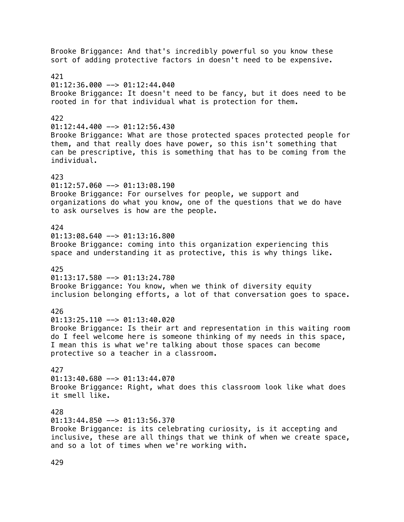Brooke Briggance: And that's incredibly powerful so you know these sort of adding protective factors in doesn't need to be expensive. 421  $01:12:36.000$  -->  $01:12:44.040$ Brooke Briggance: It doesn't need to be fancy, but it does need to be rooted in for that individual what is protection for them. 422  $01:12:44.400$  -->  $01:12:56.430$ Brooke Briggance: What are those protected spaces protected people for them, and that really does have power, so this isn't something that can be prescriptive, this is something that has to be coming from the individual. 423  $01:12:57.060$  -->  $01:13:08.190$ Brooke Briggance: For ourselves for people, we support and organizations do what you know, one of the questions that we do have to ask ourselves is how are the people. 424  $01:13:08.640$  -->  $01:13:16.800$ Brooke Briggance: coming into this organization experiencing this space and understanding it as protective, this is why things like. 425  $01:13:17.580$  -->  $01:13:24.780$ Brooke Briggance: You know, when we think of diversity equity inclusion belonging efforts, a lot of that conversation goes to space. 426  $01:13:25.110$  -->  $01:13:40.020$ Brooke Briggance: Is their art and representation in this waiting room do I feel welcome here is someone thinking of my needs in this space, I mean this is what we're talking about those spaces can become protective so a teacher in a classroom. 427  $01:13:40.680$  -->  $01:13:44.070$ Brooke Briggance: Right, what does this classroom look like what does it smell like. 428  $01:13:44.850$  -->  $01:13:56.370$ Brooke Briggance: is its celebrating curiosity, is it accepting and inclusive, these are all things that we think of when we create space, and so a lot of times when we're working with.

429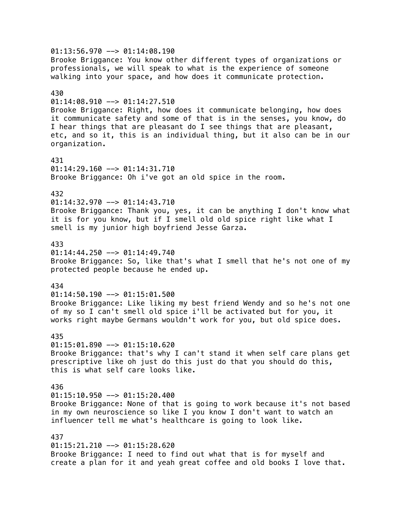$01:13:56.970$  -->  $01:14:08.190$ Brooke Briggance: You know other different types of organizations or professionals, we will speak to what is the experience of someone walking into your space, and how does it communicate protection. 430  $01:14:08.910$  -->  $01:14:27.510$ Brooke Briggance: Right, how does it communicate belonging, how does it communicate safety and some of that is in the senses, you know, do I hear things that are pleasant do I see things that are pleasant, etc, and so it, this is an individual thing, but it also can be in our organization. 431  $01:14:29.160$  -->  $01:14:31.710$ Brooke Briggance: Oh i've got an old spice in the room. 432 01:14:32.970 --> 01:14:43.710 Brooke Briggance: Thank you, yes, it can be anything I don't know what it is for you know, but if I smell old old spice right like what I smell is my junior high boyfriend Jesse Garza. 433  $01:14:44.250$  -->  $01:14:49.740$ Brooke Briggance: So, like that's what I smell that he's not one of my protected people because he ended up. 434  $01:14:50.190$  -->  $01:15:01.500$ Brooke Briggance: Like liking my best friend Wendy and so he's not one of my so I can't smell old spice i'll be activated but for you, it works right maybe Germans wouldn't work for you, but old spice does. 435  $01:15:01.890$  -->  $01:15:10.620$ Brooke Briggance: that's why I can't stand it when self care plans get prescriptive like oh just do this just do that you should do this, this is what self care looks like. 436  $01:15:10.950$  -->  $01:15:20.400$ Brooke Briggance: None of that is going to work because it's not based in my own neuroscience so like I you know I don't want to watch an influencer tell me what's healthcare is going to look like. 437  $01:15:21.210$  -->  $01:15:28.620$ Brooke Briggance: I need to find out what that is for myself and create a plan for it and yeah great coffee and old books I love that.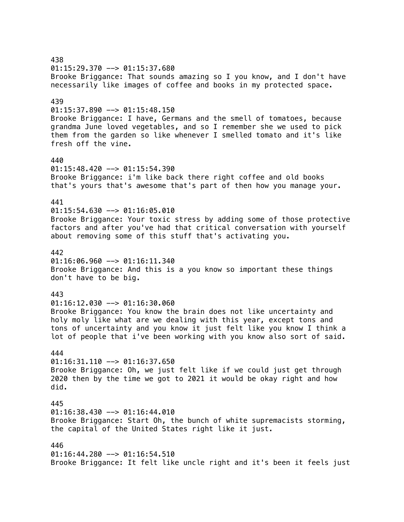438 01:15:29.370 --> 01:15:37.680 Brooke Briggance: That sounds amazing so I you know, and I don't have necessarily like images of coffee and books in my protected space. 439  $01:15:37.890$  -->  $01:15:48.150$ Brooke Briggance: I have, Germans and the smell of tomatoes, because grandma June loved vegetables, and so I remember she we used to pick them from the garden so like whenever I smelled tomato and it's like fresh off the vine. 440  $01:15:48.420$  -->  $01:15:54.390$ Brooke Briggance: i'm like back there right coffee and old books that's yours that's awesome that's part of then how you manage your. 441 01:15:54.630 --> 01:16:05.010 Brooke Briggance: Your toxic stress by adding some of those protective factors and after you've had that critical conversation with yourself about removing some of this stuff that's activating you. 442  $01:16:06.960$  -->  $01:16:11.340$ Brooke Briggance: And this is a you know so important these things don't have to be big. 443 01:16:12.030 --> 01:16:30.060 Brooke Briggance: You know the brain does not like uncertainty and holy moly like what are we dealing with this year, except tons and tons of uncertainty and you know it just felt like you know I think a lot of people that i've been working with you know also sort of said. 444  $01:16:31.110$  -->  $01:16:37.650$ Brooke Briggance: Oh, we just felt like if we could just get through 2020 then by the time we got to 2021 it would be okay right and how did. 445  $01:16:38.430$  -->  $01:16:44.010$ Brooke Briggance: Start Oh, the bunch of white supremacists storming, the capital of the United States right like it just. 446 01:16:44.280 --> 01:16:54.510 Brooke Briggance: It felt like uncle right and it's been it feels just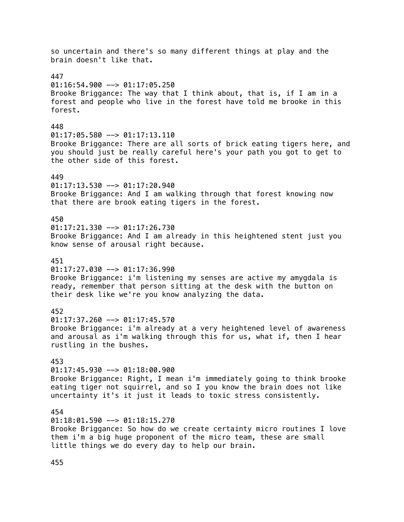so uncertain and there's so many different things at play and the brain doesn't like that. 447  $01:16:54.900$  -->  $01:17:05.250$ Brooke Briggance: The way that I think about, that is, if I am in a forest and people who live in the forest have told me brooke in this forest. 448 01:17:05.580 --> 01:17:13.110 Brooke Briggance: There are all sorts of brick eating tigers here, and you should just be really careful here's your path you got to get to the other side of this forest. 449 01:17:13.530 --> 01:17:20.940 Brooke Briggance: And I am walking through that forest knowing now that there are brook eating tigers in the forest. 450  $01:17:21.330$  -->  $01:17:26.730$ Brooke Briggance: And I am already in this heightened stent just you know sense of arousal right because. 451  $01:17:27.030$  -->  $01:17:36.990$ Brooke Briggance: i'm listening my senses are active my amygdala is ready, remember that person sitting at the desk with the button on their desk like we're you know analyzing the data. 452  $01:17:37.260$  -->  $01:17:45.570$ Brooke Briggance: i'm already at a very heightened level of awareness and arousal as i'm walking through this for us, what if, then I hear rustling in the bushes. 453  $01:17:45.930$  -->  $01:18:00.900$ Brooke Briggance: Right, I mean i'm immediately going to think brooke eating tiger not squirrel, and so I you know the brain does not like uncertainty it's it just it leads to toxic stress consistently. 454  $01:18:01.590$  -->  $01:18:15.270$ Brooke Briggance: So how do we create certainty micro routines I love them i'm a big huge proponent of the micro team, these are small little things we do every day to help our brain.

455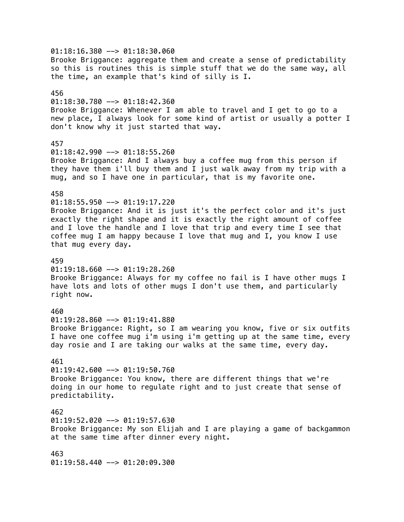01:18:16.380 --> 01:18:30.060 Brooke Briggance: aggregate them and create a sense of predictability so this is routines this is simple stuff that we do the same way, all the time, an example that's kind of silly is I. 456  $01:18:30.780$  -->  $01:18:42.360$ Brooke Briggance: Whenever I am able to travel and I get to go to a new place, I always look for some kind of artist or usually a potter I don't know why it just started that way. 457 01:18:42.990 --> 01:18:55.260 Brooke Briggance: And I always buy a coffee mug from this person if they have them i'll buy them and I just walk away from my trip with a mug, and so I have one in particular, that is my favorite one. 458 01:18:55.950 --> 01:19:17.220 Brooke Briggance: And it is just it's the perfect color and it's just exactly the right shape and it is exactly the right amount of coffee and I love the handle and I love that trip and every time I see that coffee mug I am happy because I love that mug and I, you know I use that mug every day. 459  $01:19:18.660$  -->  $01:19:28.260$ Brooke Briggance: Always for my coffee no fail is I have other mugs I have lots and lots of other mugs I don't use them, and particularly right now. 460  $01:19:28.860$  -->  $01:19:41.880$ Brooke Briggance: Right, so I am wearing you know, five or six outfits I have one coffee mug i'm using i'm getting up at the same time, every day rosie and I are taking our walks at the same time, every day. 461  $01:19:42.600$  -->  $01:19:50.760$ Brooke Briggance: You know, there are different things that we're doing in our home to regulate right and to just create that sense of predictability. 462  $01:19:52.020$  -->  $01:19:57.630$ Brooke Briggance: My son Elijah and I are playing a game of backgammon at the same time after dinner every night. 463 01:19:58.440 --> 01:20:09.300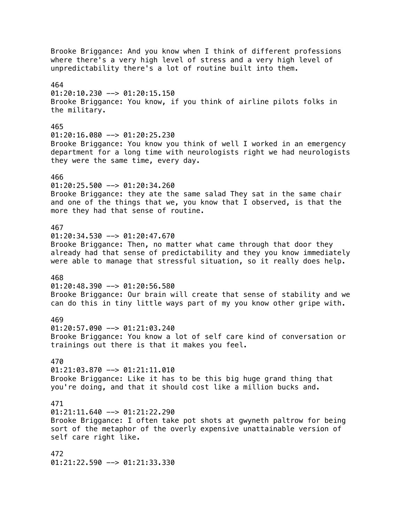Brooke Briggance: And you know when I think of different professions where there's a very high level of stress and a very high level of unpredictability there's a lot of routine built into them. 464  $01:20:10.230$  -->  $01:20:15.150$ Brooke Briggance: You know, if you think of airline pilots folks in the military. 465  $01:20:16.080$  -->  $01:20:25.230$ Brooke Briggance: You know you think of well I worked in an emergency department for a long time with neurologists right we had neurologists they were the same time, every day. 466 01:20:25.500 --> 01:20:34.260 Brooke Briggance: they ate the same salad They sat in the same chair and one of the things that we, you know that I observed, is that the more they had that sense of routine. 467 01:20:34.530 --> 01:20:47.670 Brooke Briggance: Then, no matter what came through that door they already had that sense of predictability and they you know immediately were able to manage that stressful situation, so it really does help. 468 01:20:48.390 --> 01:20:56.580 Brooke Briggance: Our brain will create that sense of stability and we can do this in tiny little ways part of my you know other gripe with. 469 01:20:57.090 --> 01:21:03.240 Brooke Briggance: You know a lot of self care kind of conversation or trainings out there is that it makes you feel. 470 01:21:03.870 --> 01:21:11.010 Brooke Briggance: Like it has to be this big huge grand thing that you're doing, and that it should cost like a million bucks and. 471  $01:21:11.640$  -->  $01:21:22.290$ Brooke Briggance: I often take pot shots at gwyneth paltrow for being sort of the metaphor of the overly expensive unattainable version of self care right like. 472 01:21:22.590 --> 01:21:33.330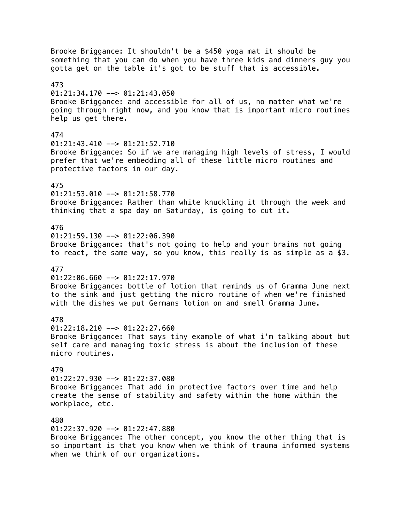Brooke Briggance: It shouldn't be a \$450 yoga mat it should be something that you can do when you have three kids and dinners guy you gotta get on the table it's got to be stuff that is accessible. 473 01:21:34.170 --> 01:21:43.050 Brooke Briggance: and accessible for all of us, no matter what we're going through right now, and you know that is important micro routines help us get there. 474 01:21:43.410 --> 01:21:52.710 Brooke Briggance: So if we are managing high levels of stress, I would prefer that we're embedding all of these little micro routines and protective factors in our day. 475 01:21:53.010 --> 01:21:58.770 Brooke Briggance: Rather than white knuckling it through the week and thinking that a spa day on Saturday, is going to cut it. 476 01:21:59.130 --> 01:22:06.390 Brooke Briggance: that's not going to help and your brains not going to react, the same way, so you know, this really is as simple as a \$3. 477  $01:22:06.660$  -->  $01:22:17.970$ Brooke Briggance: bottle of lotion that reminds us of Gramma June next to the sink and just getting the micro routine of when we're finished with the dishes we put Germans lotion on and smell Gramma June. 478  $01:22:18.210$  -->  $01:22:27.660$ Brooke Briggance: That says tiny example of what i'm talking about but self care and managing toxic stress is about the inclusion of these micro routines. 479 01:22:27.930 --> 01:22:37.080 Brooke Briggance: That add in protective factors over time and help create the sense of stability and safety within the home within the workplace, etc. 480 01:22:37.920 --> 01:22:47.880 Brooke Briggance: The other concept, you know the other thing that is so important is that you know when we think of trauma informed systems

when we think of our organizations.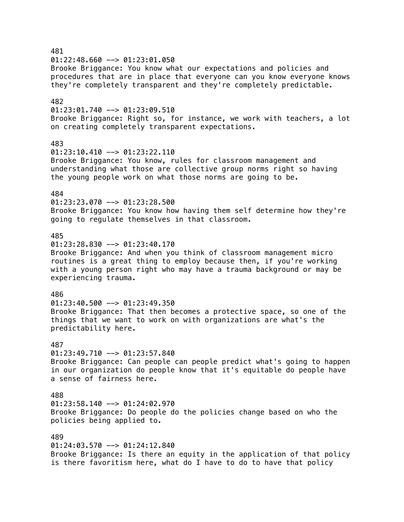481  $01:22:48.660$  -->  $01:23:01.050$ Brooke Briggance: You know what our expectations and policies and procedures that are in place that everyone can you know everyone knows they're completely transparent and they're completely predictable. 482  $01:23:01.740$  -->  $01:23:09.510$ Brooke Briggance: Right so, for instance, we work with teachers, a lot on creating completely transparent expectations. 483  $01:23:10.410$  -->  $01:23:22.110$ Brooke Briggance: You know, rules for classroom management and understanding what those are collective group norms right so having the young people work on what those norms are going to be. 484 01:23:23.070 --> 01:23:28.500 Brooke Briggance: You know how having them self determine how they're going to regulate themselves in that classroom. 485  $01:23:28.830$  -->  $01:23:40.170$ Brooke Briggance: And when you think of classroom management micro routines is a great thing to employ because then, if you're working with a young person right who may have a trauma background or may be experiencing trauma. 486  $01:23:40.500$  -->  $01:23:49.350$ Brooke Briggance: That then becomes a protective space, so one of the things that we want to work on with organizations are what's the predictability here. 487  $01:23:49.710$  -->  $01:23:57.840$ Brooke Briggance: Can people can people predict what's going to happen in our organization do people know that it's equitable do people have a sense of fairness here. 488 01:23:58.140 --> 01:24:02.970 Brooke Briggance: Do people do the policies change based on who the policies being applied to. 489 01:24:03.570 --> 01:24:12.840 Brooke Briggance: Is there an equity in the application of that policy is there favoritism here, what do I have to do to have that policy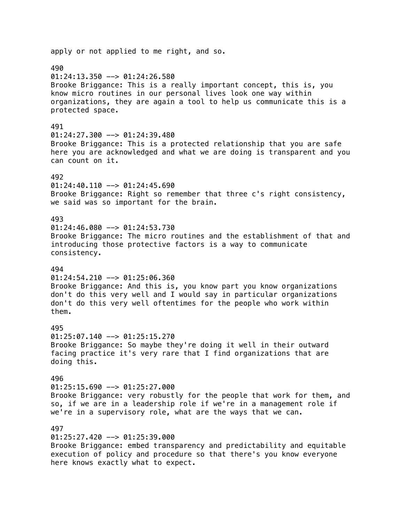# apply or not applied to me right, and so. 490  $01:24:13.350$  -->  $01:24:26.580$ Brooke Briggance: This is a really important concept, this is, you know micro routines in our personal lives look one way within organizations, they are again a tool to help us communicate this is a protected space. 491  $01:24:27.300$  -->  $01:24:39.480$ Brooke Briggance: This is a protected relationship that you are safe here you are acknowledged and what we are doing is transparent and you can count on it. 492  $01:24:40.110$  -->  $01:24:45.690$ Brooke Briggance: Right so remember that three c's right consistency, we said was so important for the brain. 493  $01:24:46.080$  -->  $01:24:53.730$ Brooke Briggance: The micro routines and the establishment of that and introducing those protective factors is a way to communicate consistency. 494  $01:24:54.210$  -->  $01:25:06.360$ Brooke Briggance: And this is, you know part you know organizations don't do this very well and I would say in particular organizations don't do this very well oftentimes for the people who work within them. 495  $01:25:07.140$  -->  $01:25:15.270$ Brooke Briggance: So maybe they're doing it well in their outward facing practice it's very rare that I find organizations that are doing this. 496 01:25:15.690 --> 01:25:27.000 Brooke Briggance: very robustly for the people that work for them, and so, if we are in a leadership role if we're in a management role if we're in a supervisory role, what are the ways that we can. 497  $01:25:27.420$  -->  $01:25:39.000$ Brooke Briggance: embed transparency and predictability and equitable execution of policy and procedure so that there's you know everyone

here knows exactly what to expect.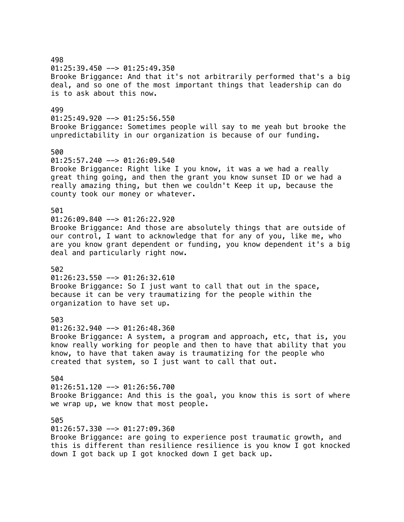498 01:25:39.450 --> 01:25:49.350 Brooke Briggance: And that it's not arbitrarily performed that's a big deal, and so one of the most important things that leadership can do is to ask about this now. 499  $01:25:49.920$  -->  $01:25:56.550$ Brooke Briggance: Sometimes people will say to me yeah but brooke the unpredictability in our organization is because of our funding. 500 01:25:57.240 --> 01:26:09.540 Brooke Briggance: Right like I you know, it was a we had a really great thing going, and then the grant you know sunset ID or we had a really amazing thing, but then we couldn't Keep it up, because the county took our money or whatever. 501  $01:26:09.840$  -->  $01:26:22.920$ Brooke Briggance: And those are absolutely things that are outside of our control, I want to acknowledge that for any of you, like me, who are you know grant dependent or funding, you know dependent it's a big deal and particularly right now. 502  $01:26:23.550$  -->  $01:26:32.610$ Brooke Briggance: So I just want to call that out in the space, because it can be very traumatizing for the people within the organization to have set up. 503  $01:26:32.940$  -->  $01:26:48.360$ Brooke Briggance: A system, a program and approach, etc, that is, you know really working for people and then to have that ability that you know, to have that taken away is traumatizing for the people who created that system, so I just want to call that out. 504 01:26:51.120 --> 01:26:56.700 Brooke Briggance: And this is the goal, you know this is sort of where we wrap up, we know that most people. 505 01:26:57.330 --> 01:27:09.360 Brooke Briggance: are going to experience post traumatic growth, and this is different than resilience resilience is you know I got knocked

down I got back up I got knocked down I get back up.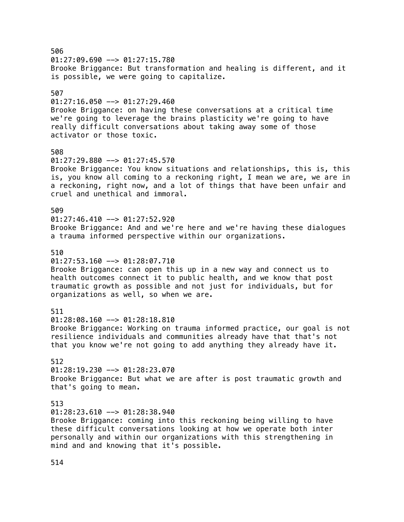506  $01:27:09.690$  -->  $01:27:15.780$ Brooke Briggance: But transformation and healing is different, and it is possible, we were going to capitalize. 507  $01:27:16.050$  -->  $01:27:29.460$ Brooke Briggance: on having these conversations at a critical time we're going to leverage the brains plasticity we're going to have really difficult conversations about taking away some of those activator or those toxic. 508 01:27:29.880 --> 01:27:45.570 Brooke Briggance: You know situations and relationships, this is, this is, you know all coming to a reckoning right, I mean we are, we are in a reckoning, right now, and a lot of things that have been unfair and cruel and unethical and immoral. 509  $01:27:46.410$  -->  $01:27:52.920$ Brooke Briggance: And and we're here and we're having these dialogues a trauma informed perspective within our organizations. 510  $01:27:53.160$  -->  $01:28:07.710$ Brooke Briggance: can open this up in a new way and connect us to health outcomes connect it to public health, and we know that post traumatic growth as possible and not just for individuals, but for organizations as well, so when we are. 511 01:28:08.160 --> 01:28:18.810 Brooke Briggance: Working on trauma informed practice, our goal is not resilience individuals and communities already have that that's not that you know we're not going to add anything they already have it. 512 01:28:19.230 --> 01:28:23.070 Brooke Briggance: But what we are after is post traumatic growth and that's going to mean. 513  $01:28:23.610$  -->  $01:28:38.940$ Brooke Briggance: coming into this reckoning being willing to have these difficult conversations looking at how we operate both inter personally and within our organizations with this strengthening in mind and and knowing that it's possible.